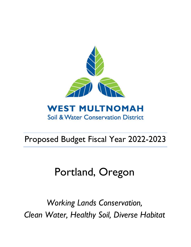

# Proposed Budget Fiscal Year 2022-2023

# Portland, Oregon

*Working Lands Conservation, Clean Water, Healthy Soil, Diverse Habitat*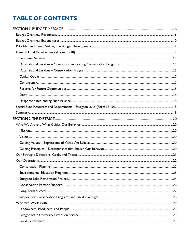## **TABLE OF CONTENTS**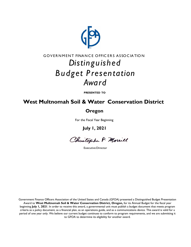

## GOVERNMENT FINANCE OFFICERS ASSOCIATION *Distin gu ished B u dget P resen tation Award*

**PRESENTED TO**

## **West Multnomah Soil & Water Conservation District**

## **Oregon**

For the Fiscal Year Beginning

**July 1, 2021**

Christopher P. Morrill

Executive Director

Government Finance Officers Association of the United States and Canada (GFOA) presented a Distinguished Budget Presentation Award to **West Multnomah Soil & Water Conservation District, Oregon,** for its Annual Budget for the fiscal year beginning **July 1, 2021**. In order to receive this award, a governmental unit must publish a budget document that meets program criteria as a policy document, as a financial plan, as an operations guide, and as a communications device. This award is valid for a period of one year only. We believe our current budget continues to conform to program requirements, and we are submitting it to GFOA to determine its eligibility for another award.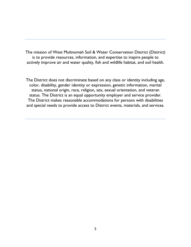The mission of West Multnomah Soil & Water Conservation District (District) is to provide resources, information, and expertise to inspire people to actively improve air and water quality, fish and wildlife habitat, and soil health.

The District does not discriminate based on any class or identity including age, color, disability, gender identity or expression, genetic information, marital status, national origin, race, religion, sex, sexual orientation, and veteran status. The District is an equal opportunity employer and service provider. The District makes reasonable accommodations for persons with disabilities and special needs to provide access to District events, materials, and services.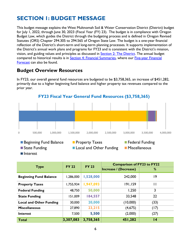## <span id="page-5-0"></span>**SECTION 1: BUDGET MESSAGE**

This budget message explains the West Multnomah Soil & Water Conservation District (District) budget for July 1, 2022, through June 30, 2023 (Fiscal Year (FY) 23). The budget is in compliance with Oregon Budget Law, which guides the District through the budgeting process and is defined in Oregon Revised Statutes (ORS) Chapter 294.305 to 294.565 of Oregon State Law. The budget is a one-year financial reflection of the District's short-term and long-term planning processes. It supports implementation of the District's annual work plans and programs for FY23 and is consistent with the District's mission, vision, and guiding values and principles as discussed in **Section 2: The District**. The annual budget compared to historical results is in [Section 4: Financial Summaries,](#page-35-0) where our Five-year Financial [Forecast](#page-36-0) can also be found.

## <span id="page-5-1"></span>**Budget Overview Resources**

Interest

In FY23, our overall general fund resources are budgeted to be \$3,758,365, an increase of \$451,282, primarily due to a higher beginning fund balance and higher property tax revenues compared to the prior year.



**FY23 Fiscal Year General Fund Resources (\$3,758,365)**

| <b>Type</b>                    | <b>FY 22</b> | <b>FY 23</b> | <b>Comparison of FY23 to FY22</b> |              |  |  |
|--------------------------------|--------------|--------------|-----------------------------------|--------------|--|--|
|                                |              |              | Increase / (Decrease)             | %            |  |  |
| <b>Beginning Fund Balance</b>  | 1,286,000    | 1,528,000    | 242,000                           | 19           |  |  |
| <b>Property Taxes</b>          | 1,755,934    | 1,947,093    | 191,159                           | $\mathsf{I}$ |  |  |
| <b>Federal Funding</b>         | 48,750       | 50,000       | 1,250                             | 3            |  |  |
| <b>State Funding</b>           | 151,009      | 184,557      | 33,548                            | 22           |  |  |
| <b>Local and Other Funding</b> | 30,000       | 20,000       | (10,000)                          | (33)         |  |  |
| <b>Miscellaneous</b>           | 27,890       | 23,215       | (4,675)                           | (17)         |  |  |
| <b>Interest</b>                | 7,500        | 5,500        | (2,000)                           | (27)         |  |  |
| <b>Total</b>                   | 3,307,083    | 3,758,365    | 451,282                           | 4            |  |  |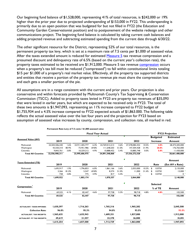Our beginning fund balance of \$1,528,000, representing 41% of total resources, is \$242,000 or 19% higher than the prior year due to projected underspending of \$153,000 in FY22. This underspending is primarily due to an open position that was budgeted for but not filled in FY22 (the Education and Community Garden Conservationist position) and to postponement of the website redesign and other communications project. The beginning fund balance is calculated by taking current cash balances and adding projected revenue and subtracting estimated spending from the current date through 6/30/22.

The other significant resource for the District, representing 52% of our total resources, is the permanent property tax levy, which is set at a maximum rate of 7.5 cents per \$1,000 of assessed value. After the taxes extended amount is reduced for estimated [Measure 5](https://www.oregon.gov/DOR/programs/gov-research/Documents/303-405-1.pdf) tax revenue compression and a presumed discount and delinquency rate of 6.5% (based on the current year's collection rate), the property taxes estimated to be received are \$1,912,000. Measure 5 tax revenue [compression](https://www.multco.us/assessment-taxation/how-your-property-taxes-are-calculated#Compression) occurs when a property's tax bill must be reduced ("compressed") to fall within constitutional limits totaling \$15 per \$1,000 of a property's real market value. Effectively, all the property tax supported districts and entities that receive a portion of the property tax revenue pie must share the compression loss and each gets a smaller portion of the pie.

All assumptions are in a range consistent with the current and prior years. Our projection is also conservative and within forecasts provided by Multnomah County's Tax Supervising & Conservation Commission (TSCC). Added to property taxes levied in FY23 are property tax revenues of \$35,093 that were levied in earlier years, but which are expected to be received only in FY23. The total of these two amounts is \$1,947,093, representing an 11% increase compared to FY22 budget of \$1,755,934 and a 4.5% increase compared to FY22 expected actuals of \$1,863.000. The following table reflects the actual assessed value over the last four years and the projection for FY23 based on assumption of assessed value increases by county, compression, and collection rate, all marked in red.

|                                    |                             |       |                |       | <b>Fiscal Year Actual</b> |       |                |       |                 | <b>FY23 Projection</b> |
|------------------------------------|-----------------------------|-------|----------------|-------|---------------------------|-------|----------------|-------|-----------------|------------------------|
|                                    |                             |       |                |       |                           |       |                |       | <b>Budgeted</b> | <b>Estimated</b>       |
| <b>Assessed Value (AV)</b>         | 2019                        |       | 2020           |       | 2021                      |       | 2022           |       | <b>Increase</b> | Amount                 |
| Multnomah                          | 22,503,506,240              | 1.6%  | 23,911,405,777 | 6.3%  | 24,769,012,213            | 3.6%  | 27,378,082,352 | 10.5% | 4.0%            | 28,473,205,000         |
| Washington                         | 43,550,310                  | 80.9% | 73,951,986     | 69.8% | 111,648,203               | 51.0% | 147,304,428    | 31.9% | 20.0%           | 176,765,000            |
| Columbia                           | 9.843.761                   | 3.8%  | 10,329,212     | 4.9%  | 10,888,452                | 5.4%  | 10.885.748     | 0.0%  | 5.0%            | 11,430,000             |
| <b>Total All Counties</b>          | $\overline{22,556,900,311}$ |       | 23,995,686,975 |       | 24,891,548,868            |       | 27,536,272,528 |       |                 | 28,661,400,000         |
|                                    |                             |       |                |       |                           |       | г              |       |                 | Amount                 |
| <b>Taxes Extended (TE)</b>         | 2019                        |       | 2020           |       | 2021                      |       | 2022           |       | Rate            | (Est AV x Rate)        |
| Multnomah                          | 1,695,917                   | 1.9%  | 1.796.853      | 6.0%  | 1.861.166                 | 3.6%  | 2.053.000      | 10.3% | 0.0750<br>\$    | 2,135,000              |
| Washington                         | 3,266                       | 81.0% | 5,547          | 69.8% | 8,374                     | 51.0% | 11,000         | 31.4% | 0.0750<br>\$    | 13,000                 |
| Columbia                           | 738                         | 3.8%  | 775            | 4.9%  | 817                       | 5.4%  | 0              |       | 0.0750<br>\$    | 0                      |
| <b>Total All Counties</b>          | 1,699,922                   |       | 1,803,174      |       | 1,870,357                 |       | 2,064,000      |       |                 | 2,148,000              |
|                                    |                             |       |                |       |                           |       | P              |       | <b>Selected</b> |                        |
| Compression <sup>1</sup>           | 2019                        |       | 2020           |       | 2021                      |       | 2022           |       | % of TE         | Amount                 |
| Multnomah                          | 69,525                      | 4.1%  | 82,447         | 4.6%  | 97,738                    | 5.3%  | 98,718         | 4.8%  | 4.8%            | 102,500                |
| <b>Total All Counties</b>          | 69,525                      |       | 82,447         |       | 97,738                    |       | 98,718         |       |                 | 102,500                |
| <b>ACTUAL/EST. TAXES IMPOSED:</b>  | 1,630,397                   |       | 1,716,263      |       | 1,765,316                 |       | 1,965,282      |       |                 | 2,045,500              |
|                                    |                             |       |                |       |                           |       |                |       |                 |                        |
| <b>Collection Rate:</b>            | 96.0%                       |       | 95.3%          |       | 94.0%                     |       | 93.5%          |       |                 | 93.5%                  |
| <b>ACTUAL/EST. TAX RECEIPTS:</b>   | 1,565,635                   |       | 1,635,943      |       | 1,689,351                 |       | 1,837,000      |       |                 | 1,912,000              |
| <b>ACTUAL/EST. PY TAX RECEIPTS</b> | 49,619                      |       | 21,557         |       | 23,378                    |       | 26,000         |       |                 | 35,093                 |
|                                    | 1,615,254                   |       | 1,657,500      |       | 1,712,729                 |       | 1,863,000      |       |                 | 1,947,093              |

**Permanent Rate Levy of 7.5 cents / \$1,000 assessed value**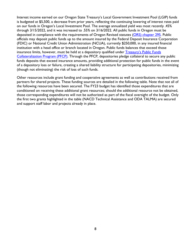Interest income earned on our Oregon State Treasury's Local Government Investment Pool (LGIP) funds is budgeted at \$5,500, a decrease from prior years, reflecting the continuing lowering of interest rates paid on our funds in Oregon's Local Investment Pool. The average annualized yield was most recently .45% through 3/15/2022, and it was increased to .55% on 3/16/2022. All public funds in Oregon must be deposited in compliance with the requirements of Oregon Revised statutes (ORS) [chapter 295.](https://www.oregonlegislature.gov/bills_laws/ors/ors295.html) Public officials may deposit public funds up to the amount insured by the Federal Deposit Insurance Corporation (FDIC) or National Credit Union Administration (NCUA), currently \$250,000, in any insured financial institution with a head office or branch located in Oregon. Public funds balances that exceed those insurance limits, however, must be held at a depository qualified under [Treasury's Public Funds](https://www.oregon.gov/treasury/public-financial-services/public-depository-information/Pages/default.aspx#:%7E:text=The%20money%20is%20protected%20through%20a%20program%20at,list%20of%20these%20institutions%20is%20a%20public%20record.?msclkid=e0188ad8bb7b11ec8d8f05bd8f7dd6ee)  [Collateralization Program \(PFCP\).](https://www.oregon.gov/treasury/public-financial-services/public-depository-information/Pages/default.aspx#:%7E:text=The%20money%20is%20protected%20through%20a%20program%20at,list%20of%20these%20institutions%20is%20a%20public%20record.?msclkid=e0188ad8bb7b11ec8d8f05bd8f7dd6ee) Through the PFCP, depositories pledge collateral to secure any public funds deposits that exceed insurance amounts, providing additional protection for public funds in the event of a depository loss or failure, creating a shared liability structure for participating depositories, minimizing (though not eliminating) the risk of loss of such funds.

Other resources include grant funding and cooperative agreements as well as contributions received from partners for shared projects. These funding sources are detailed in the following table. Note that not all of the following resources have been secured. The FY23 budget has identified those expenditures that are conditioned on receiving these additional grant resources; should the additional resource not be obtained, those corresponding expenditures will not be authorized as part of the fiscal oversight of the budget. Only the first two grants highlighted in the table (NACD Technical Assistance and ODA TALMA) are secured and support staff labor and projects already in place.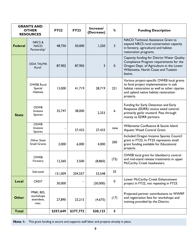|                | <b>GRANTS AND</b><br><b>OTHER</b><br><b>RESOURCES</b> | <b>FY22</b> | <b>FY23</b> | Increase/<br>(Decrease) | %           | <b>Funding Description</b>                                                                                                                                                                 |
|----------------|-------------------------------------------------------|-------------|-------------|-------------------------|-------------|--------------------------------------------------------------------------------------------------------------------------------------------------------------------------------------------|
| <b>Federal</b> | NRCS&<br><b>NACD</b><br>Partnership <sup>1</sup>      | 48,750      | 50,000      | 1,250                   | 3           | <b>NACD Technical Assistance Grant to</b><br>expand NRCS rural conservation capacity<br>in forestry, agricultural and habitat<br>restoration programs.                                     |
|                | <b>ODA TALMA</b><br>Rural <sup>1</sup>                | 87,902      | 87,905      | 3                       | $\mathbf 0$ | Capacity funding for District Water Quality<br>Compliance Program requirements for the<br>Oregon Dept. of Agriculture in the Lower<br>Willamette, North Coast and Tualatin<br>basins.      |
|                | <b>OWEB Rural</b><br>Special<br>Habitats              | 13,000      | 41,719      | 28,719                  | 221         | Various project-specific OWEB local grants<br>to fund project implementation in oak<br>habitat restoration as well as other riparian<br>and upland native habitat restoration<br>projects. |
| <b>State</b>   | <b>OSWB</b><br>Invasive<br><b>Species</b>             | 35,747      | 38,000      | 2,253                   | 6           | Funding for Early Detection and Early<br>Response (EDRR) noxius weed control;<br>primarily garlic mustard. Pass through<br>money to EDRR partners.                                         |
|                | <b>OSWB</b><br>Invasive<br><b>Species</b>             |             | 27,433      | 27,433                  | new         | Willamette Confluence & Sauvie Island<br>Aquatic Weed Control Grant.                                                                                                                       |
|                | Other State<br><b>Small Grants</b>                    | 2,000       | 6,000       | 4,000                   | 200         | Included Oregon Invasive Species Council<br>grant in FY22; In FY23 represents small<br>grant funding available for Educational<br>projects.                                                |
|                | <b>OWEB</b><br>Forestry                               | 12,360      | 3,500       | (8,860)                 | (72)        | OWEB local grant for blackberry control<br>and mid-stand release treatments in upper<br>McCarthy Creek headwaters.                                                                         |
|                | Sub-total                                             | 151,009     | 204,557     | 53,548                  | 35          |                                                                                                                                                                                            |
| Local          | <b>CREST</b>                                          | 30,000      |             | (30,000)                | $\pmb{0}$   | Lower McCarthy Creek Enhancement<br>project in FY22, not repeating in FY23.                                                                                                                |
| <b>Other</b>   | PP&R, BES,<br>workshops<br>attendees,<br>misc.        | 27,890      | 23,215      | (4,675)                 | (17)        | Projected partner contributions to WWRP<br>and registration fees for workshops and<br>training provided by the District.                                                                   |
| <b>Total</b>   |                                                       | \$257,649   | \$277,772   | \$20,123                | 8           |                                                                                                                                                                                            |

**Note 1:** This grant funding is secure and supports staff labor and projects already in place.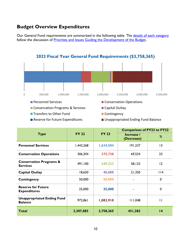## <span id="page-9-0"></span>**Budget Overview Expenditures**

Our General Fund requirements are summarized in the following table. The details of each [category](#page-11-0) follow the discussion of **Priorities and Issues Guiding the Development of the Budget**.



<span id="page-9-1"></span>

|                                                       |              |              | <b>Comparison of FY23 to FY22</b> |                 |  |
|-------------------------------------------------------|--------------|--------------|-----------------------------------|-----------------|--|
| <b>Type</b>                                           | <b>FY 22</b> | <b>FY 23</b> | Increase /<br>(Decrease)          | %               |  |
| <b>Personnel Services</b>                             | 1,443,268    | 1,634,504    | 191,237                           | 13              |  |
| <b>Conservation Operations</b>                        | 306,204      | 375,728      | 69,524                            | 23              |  |
| <b>Conservation Programs &amp;</b><br><b>Services</b> | 491,100      | 549,223      | 58,123                            | 12              |  |
| <b>Capital Outlay</b>                                 | 18,650       | 40,000       | 21,350                            | $ $  4          |  |
| Contingency                                           | 50,000       | 50,000       |                                   | $\mathbf 0$     |  |
| <b>Reserve for Future</b><br><b>Expenditures</b>      | 25,000       | 25,000       |                                   | 0               |  |
| <b>Unappropriated Ending Fund</b><br><b>Balance</b>   | 972,861      | 1,083,910    | 111,048                           | $\mathbf{H}$    |  |
| <b>Total</b>                                          | 3,307,083    | 3,758,365    | 451,282                           | $\overline{14}$ |  |

**2023 Fiscal Year General Fund Requirements (\$3,758,365)**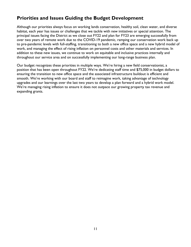## <span id="page-10-0"></span>**Priorities and Issues Guiding the Budget Development**

Although our priorities always focus on working lands conservation, healthy soil, clean water, and diverse habitat, each year has issues or challenges that we tackle with new initiatives or special attention. The principal issues facing the District as we close out FY22 and plan for FY23 are emerging successfully from over two years of remote work due to the COVID-19 pandemic, ramping our conservation work back up to pre-pandemic levels with full-staffing, transitioning to both a new office space and a new hybrid model of work, and managing the effect of rising inflation on personnel costs and other materials and services. In addition to these new issues, we continue to work on equitable and inclusive practices internally and throughout our service area and on successfully implementing our long-range business plan.

Our budget recognizes these priorities in multiple ways. We're hiring a new field conservationist, a position that has been open throughout FY22. We're dedicating staff time and \$75,000 in budget dollars to ensuring the transition to new office space and the associated infrastructure buildout is efficient and smooth. We're working with our board and staff to reimagine work, taking advantage of technology upgrades and our learnings over the last two years to develop a plan forward and a hybrid work model. We're managing rising inflation to ensure it does not outpace our growing property tax revenue and expanding grants.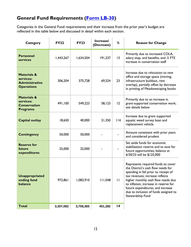## <span id="page-11-0"></span>**General Fund Requirements [\(Form LB-30\)](#page-39-0)**

Categories in the General Fund requirements and their increase from the prior year's budget are reflected in the table below and discussed in detail within each section.

| <b>Category</b>                                                                   | <b>FY22</b> | <b>FY23</b> | Increase/<br>(Decrease) | %               | <b>Reason for Change</b>                                                                                                                                                                                                                                                                                                             |
|-----------------------------------------------------------------------------------|-------------|-------------|-------------------------|-----------------|--------------------------------------------------------------------------------------------------------------------------------------------------------------------------------------------------------------------------------------------------------------------------------------------------------------------------------------|
| <b>Personnel</b><br>services                                                      | I,443,267   | 1,634,504   | 191,237                 | 3               | Primarily due to increased COLA,<br>salary step, and benefits, and .5 FTE<br>increase in conservation staff                                                                                                                                                                                                                          |
| <b>Materials &amp;</b><br>services:<br><b>Administrative</b><br><b>Operations</b> | 306,204     | 375,728     | 69,524                  | 23              | Increase due to relocation to new<br>office and storage space (moving,<br>infrastructure buildout, rent<br>overlap), partially offset by decrease<br>in printing of Meadowscaping books                                                                                                                                              |
| <b>Materials &amp;</b><br>services:<br><b>Conservation</b><br><b>Programs</b>     | 491,100     | 549,223     | 58,123                  | 12              | Primarily due to an increase in<br>grant-supported conservation work;<br>see details below                                                                                                                                                                                                                                           |
| <b>Capital outlay</b>                                                             | 18,650      | 40,000      | 21,350                  | 114             | Increase due to grant supported<br>aquatic weed survey boat and<br>replacement vehicle                                                                                                                                                                                                                                               |
| <b>Contingency</b>                                                                | 50,000      | 50,000      |                         |                 | Amount consistent with prior years<br>and considered prudent                                                                                                                                                                                                                                                                         |
| <b>Reserve for</b><br>future<br>expenditures                                      | 25,000      | 25,000      |                         |                 | Set aside funds for economic<br>stabilization reserve and to save for<br>future opportunities; balance at<br>6/30/23 will be \$125,000                                                                                                                                                                                               |
| <b>Unappropriated</b><br>ending fund<br>balance                                   | 972,861     | 1,083,910   | 111,048                 | $\mathbf{H}$    | Represents required funds to cover<br>the District's cash flow needs for<br>spending in fall prior to receipt of<br>tax revenues; increase reflects<br>higher monthly cash flow needs due<br>to inflation, increase in reserve for<br>future expenditures, and increase<br>due to inclusion of funds assigned to<br>Stewardship Fund |
| <b>Total</b>                                                                      | 3,307,082   | 3,758,365   | 451,282                 | $\overline{14}$ |                                                                                                                                                                                                                                                                                                                                      |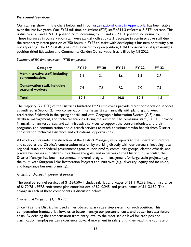#### <span id="page-12-0"></span>**Personnel Services**

Our staffing, shown in the chart below and in our [organizational chart in Appendix B,](#page-44-0) has been stable over the last five years. Our FY23 full-time equivalent (FTE) staff of 11.3 reflects a .5 FTE increase. This is due to a .75 and a .9 FTE positon both increasing to 1.0 and a .67 FTE positon increasing to .85 FTE. These increases in conservation staff were partially offset by a .1 decrease in administrative staff due the temporary intern position of 250 hours in FY22 to assist with developing a business continuity plan not repeating. The FY23 staffing assumes a currently open position, Field Conservationist (previously a position titled Education and Community Garden Conservationist), is filled by fall 2022.

| Category                                                 | <b>FY 19</b> | <b>FY 20</b> | <b>FY 21</b> | <b>FY 22</b> | <b>FY 23</b> |
|----------------------------------------------------------|--------------|--------------|--------------|--------------|--------------|
| <b>Administrative staff, including</b><br>communications | 3.4          | 3.4          | 3.6          | 3.8          | 3.7          |
| <b>Conservation staff, including</b><br>seasonal workers | 7.4          | 7.9          | 7.2          | 7.0          | 7.6          |
| <b>Total</b>                                             | 10.8         | 11.3         | 10.8         | 10.8         | I I .3       |

*Summary of full-time equivalent (FTE) employees:*

The majority (7.6 FTE) of the District's budgeted FY23 employees provide direct conservation services as outlined in Section 2. Two conservation interns assist staff annually with planting and weed eradication fieldwork in the spring and fall and with Geographic Information System (GIS) data, database management, and technical analyses during the summer. The remaining staff (3.7 FTE) provide financial, human resources, and administrative services to support the conservationists and their programs, and communication and outreach services to reach constituents who benefit from District conservation technical assistance and educational opportunities.

All work occurs under the direction of the District Manager, who reports to the Board of Directors and supports the District's conservation mission by working directly with our partners, including local, regional, state, and federal government agencies, non-profits, community groups, elected officials, and private businesses and citizens, to achieve the goals and initiatives of the District. In particular, the District Manager has been instrumental in overall program management for large scale projects (e.g., the multi-year Sturgeon Lake Restoration Project) and initiatives (e.g., diversity, equity and inclusion, and long-range business planning).

#### *Analysis of changes in personnel services*

The total personnel services of \$1,634,504 includes salaries and wages of \$1,110,298, health insurance of \$170,781, PERS retirement plan contributions of \$240,245, and payroll taxes of \$113,180. The change in each of these components is discussed below.

#### *Salaries and Wages of \$1,110,298:*

Since FY22, the District has used a merit-based salary scale step system for each position. This compensation framework allows us to better manage our personnel costs and better forecast future costs. By defining the compensation from entry level to the most senior level for each position classification, employees can experience upward movement in salary until they reach the top rate of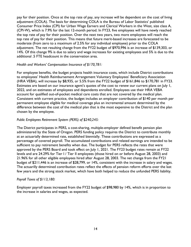pay for their position. Once at the top rate of pay, any increase will be dependent on the cost of living adjustment (COLA). The basis for determining COLA is the Bureau of Labor Statistics' published Consumer Price Index (CPI) for Urban Wage Earners and Clerical Workers in the West, size class A, (CPI-W), which is 7.9% for the last 12-month period. In FY23, five employees will have newly reached the top rate of pay for their position. Over the next two years, two more employees will reach the top rate of pay for their position. This means that future merit-based increases are forecasted to be moderate (from zero to a maximum of 2.5% for any individual employee) prior to the COLA adjustment. The net resulting change from the FY22 budget of \$970,996 is an increase of \$139,303, or 14%. Of this change 9% is due to salary and wage increases for existing employees and 5% is due to the additional .5 FTE headcount in the conservation area.

#### *Health and Workers' Compensation Insurance of \$170,781:*

For employee benefits, the budget projects health insurance costs, which include District contributions to employees' Health Reimbursement Arrangement Voluntary Employees' Beneficiary Association (HRA VEBA), will increase by \$8,935, or 5.5% from the FY22 budget of \$161,846 to \$170,781 in FY23. Estimates are based on our insurance agent's quotes of the cost to renew our current plans on July 1, 2022, and on estimates of employees and dependents enrolled. Employees use their HRA VEBA account for qualified out-of-pocket medical care costs that are not covered by the medical plan. Consistent with current practice, the budget includes an employer contribution of \$140 per month per permanent employee eligible for medical coverage plus an incremental amount determined by the difference between the cost of the medical plan that is the most expensive to the District and the plan chosen by the employee.

#### *Public Employees Retirement System (PERS) of \$240,245:*

The District participates in PERS, a cost-sharing, multiple-employer defined benefit pension plan administered by the State of Oregon. PERS funding policy requires the District to contribute monthly at an actuarially determined rate, established biennially. These contributions are expressed as a percentage of covered payroll. The accumulated contributions and related earnings are intended to be sufficient to pay retirement benefits when due. The budget for PERS reflects the rates that were approved by the PERS Board and took effect on July 1, 2021. The FY23 budget rates remain at FY22 levels and are 24.29% for Tier I / Tier II employees (those hired on or before August 28, 2003) and 21.96% for all other eligible employees hired after August 28, 2003. The net change from the FY21 budget of \$211,446 is an increase of \$28,799, or 14%, consistent with the increase in salary and wages. The actuarilly determined contribution rates reflect the effects of pension reform efforts over the last few years and the strong stock market, which have both helped to reduce the unfunded PERS liability.

#### *Payroll Taxes of \$113,180:*

Employer payroll taxes increased from the FY22 budget of \$98,980 by 14%, which is in proportion to the increase in salaries and wages, as expected.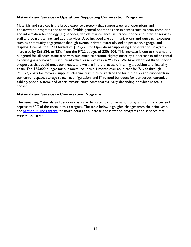#### <span id="page-14-0"></span>**Materials and Services – Operations Supporting Conservation Programs**

Materials and services is the broad expense category that supports general operations and conservation programs and services. Within general operations are expenses such as rent, computer and information technology (IT) services, vehicle maintenance, insurance, phone and internet services, staff and board training, and audit services. Also included are communications and outreach expenses such as community engagement through events, printed materials, online presence, signage, and displays. Overall, the FY23 budget of \$375,728 for Operations Supporting Conservation Programs increased by \$69,524, or 23%, from the FY22 budget of \$306,204. This increase is due to the amount budgeted for all costs associated with our office relocation, slightly offset by a decrease in office rental expense going forward. Our current office lease expires on 9/30/22. We have identified three specific properties that could meet our needs, and we are in the process of making a decision and finalizing costs. The \$75,000 budget for our move includes a 3-month overlap in rent for 7/1/22 through 9/30/22, costs for movers, supplies, cleaning, furniture to replace the built in desks and cupboards in our current space, storage space reconfiguration, and IT related buildouts for our server, extended cabling, phone system, and other infrastructure costs that will vary depending on which space is chosen.

#### <span id="page-14-1"></span>**Materials and Services – Conservation Programs**

The remaining Materials and Services costs are dedicated to conservation programs and services and represent 60% of the costs in this category. The table below highlights changes from the prior year. See [Section 2: The District](#page-20-0) for more details about these conservation programs and services that support our goals.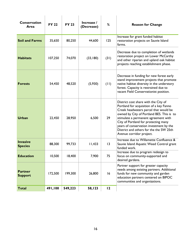| Conservation<br>Area              | <b>FY 22</b> | <b>FY 23</b> | Increase /<br>(Decrease) | %    | <b>Reason for Change</b>                                                                                                                                                                                                                                                                                                                                                |
|-----------------------------------|--------------|--------------|--------------------------|------|-------------------------------------------------------------------------------------------------------------------------------------------------------------------------------------------------------------------------------------------------------------------------------------------------------------------------------------------------------------------------|
| <b>Soil and Farms</b>             | 35,650       | 80,250       | 44,600                   | 125  | Increase for grant funded habitat<br>restoration projects on Sauvie Island<br>farms.                                                                                                                                                                                                                                                                                    |
| <b>Habitats</b>                   | 107,250      | 74,070       | (33,180)                 | (31) | Decrease due to completion of wetlands<br>restoration project on Lower McCarthy<br>and other riparian and upland oak habitat<br>projects reaching establishment phase.                                                                                                                                                                                                  |
| <b>Forests</b>                    | 54,450       | 48,520       | (5,930)                  | (11) | Decrease in funding for new forest early<br>stand improvement projects that promote<br>native habitat diversity in the understory<br>forest. Capacity is restrained due to<br>vacant Field Conservationist position.                                                                                                                                                    |
| <b>Urban</b>                      | 22,450       | 28,950       | 6,500                    | 29   | District cost share with the City of<br>Portland for acquisition of a key Fanno<br>Creek headwaters parcel that would be<br>owned by City of Portland BES. This is to<br>stimulate a permanent agreement with<br>City of Portland for protecting many<br>years of conservation investment by the<br>District and others for the the SW 25th<br>Avenue corridor project. |
| <b>Invasive</b><br><b>Species</b> | 88,300       | 99,733       | 11,433                   | 13   | Increase due to Willamette Confluence &<br>Sauvie Island Aquatic Weed Control grant<br>funded work.                                                                                                                                                                                                                                                                     |
| <b>Education</b>                  | 10,500       | 18,400       | 7,900                    | 75   | Increase due to program redesign to<br>focus on community-supported and<br>desired gardens.                                                                                                                                                                                                                                                                             |
| <b>Partner</b><br><b>Support</b>  | 172,500      | 199,300      | 26,800                   | 16   | Partner support for greater capacity<br>needs among existing partners. Additional<br>funds for new community and garden<br>education partners centered on BIPOC<br>communities and organizations.                                                                                                                                                                       |
| <b>Total</b>                      | 491,100      | 549,223      | 58,123                   | 12   |                                                                                                                                                                                                                                                                                                                                                                         |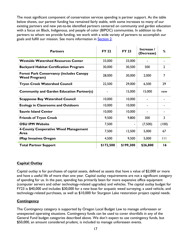The most significant component of conservation services spending is partner support. As the table below shows, our partner funding has remained fairly stable, with some increases to many of our existing partners and new yet-to-be identified partners centered on community and garden education with a focus on Black, Indigenous, and people of color (BIPOC) communities. In addition to the partners to whom we provide funding, we work with a wide variety of partners to accomplish our goals and fulfill our mission. See more information in **Section 2.** 

| <b>Partners</b>                                                         | <b>FY 22</b> | <b>FY 23</b> | Increase /<br>(Decrease) | %              |
|-------------------------------------------------------------------------|--------------|--------------|--------------------------|----------------|
| <b>Westside Watershed Resources Center</b>                              | 33,000       | 33,000       |                          |                |
| <b>Backyard Habitat Certification Program</b>                           | 30,000       | 30,500       | 500                      | $\overline{2}$ |
| <b>Forest Park Conservancy (includes Canopy</b><br><b>Weed Program)</b> | 28,000       | 30,000       | 2,000                    | 7              |
| <b>Tryon Creek Watershed Council</b>                                    | 22,500       | 29,000       | 6,500                    | 29             |
| <b>Community and Garden Education Partner(s)</b>                        |              | 15,000       | 15,000                   | new            |
| <b>Scappoose Bay Watershed Council</b>                                  | 10,000       | 10,000       |                          |                |
| <b>Ecology in Classrooms and Outdoors</b>                               | 10,000       | 10,000       |                          |                |
| <b>Sauvie Island Center</b>                                             | 10,000       | 10,000       |                          |                |
| <b>Friends of Tryon Creek</b>                                           | 9,500        | 9,800        | 300                      | 3              |
| <b>OSU IPM Website</b>                                                  | 7,500        |              | (7,500)                  | (100)          |
| 4-County Cooperative Weed Management<br>Area                            | 7,500        | 12,500       | 5,000                    | 67             |
| iMap Invasives Oregon                                                   | 4,500        | 9,500        | 5,000                    | $\mathbf{H}$   |
| <b>Total Partner Support</b>                                            | \$172,500    | \$199,300    | \$26,800                 | 16             |

#### <span id="page-16-0"></span>**Capital Outlay**

Capital outlay is for purchases of capital assets, defined as assets that have a value of \$2,000 or more and have a useful life of more than one year. Capital outlay requirements are not a significant category of spending for us. In the past, spending has primarily been for more expensive office equipment (computer servers and other technology-related upgrades) and vehicles. The capital outlay budget for FY23 is \$40,000 and includes \$30,000 for a new boat for acquatic weed surveying, a used vehicle, and technology-related purchases, as well as \$10,000 for Sturgeon Lake restoration project capital needs.

#### <span id="page-16-1"></span>**Contingency**

The Contingency category is supported by Oregon Local Budget Law to manage unforeseen or unexpected operating situations. Contingency funds can be used to cover shortfalls in any of the General Fund budget categories described above. We don't expect to use contingency funds, but \$50,000, an amount considered prudent, is included to manage unforeseen events.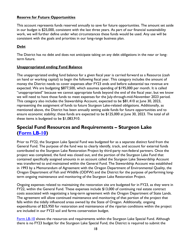#### <span id="page-17-0"></span>**Reserve for Future Opportunities**

This account represents funds reserved annually to save for future opportunities. The amount set aside in our budget is \$25,000, consistent with the last three years. As part of our financial sustainability work, we will further define under what circumstances these funds would be used. Any use will be consistent with the goals and priorities in our long-range business plan.

#### <span id="page-17-1"></span>**Debt**

The District has no debt and does not anticipate taking on any debt obligations in the near or longterm future.

#### <span id="page-17-2"></span>**Unappropriated ending Fund Balance**

The unappropriated ending fund balance for a given fiscal year is carried forward as a Resource (cash on hand or working capital) to begin the following fiscal year. This category includes the amount of money the District needs to cover expenses after FY23 ends and before substantial tax revenue are expected. We are budgeting \$877,500, which assumes spending of \$195,000 per month. It is called "unappropriated" because we cannot appropriate funds beyond the end of the fiscal year, but we know we will need to have those funds to meet expenses for the July-through-mid-November 2023 period. This category also includes the Stewardship Account, expected to be \$81,410 at June 30, 2023, representing the assignment of funds to future Sturgeon Lake-related obligations. Additionally, as mentioned above, the District has been annually setting aside funds for future opportunities and to ensure economic stability; these funds are expected to be \$125,000 at June 30, 2023. The total of all these items is budgeted to be \$1,083,910.

### <span id="page-17-3"></span>**Special Fund Resources and Requirements – Sturgeon Lake [\(Form LB-10\)](#page-40-0)**

Prior to FY22, the Sturgeon Lake Special Fund was budgeted for as a separate distinct fund from the General Fund. The purpose of the fund was to clearly identify, track, and account for external funds contributed to the Sturgeon Lake Restoration Project by third-party non-federal partners. Once the project was completed, the fund was closed out, and the portion of the Sturgeon Lake Fund that contained specifically assigned amounts in an account called the Sturgeon Lake Stewardship Account was transferred to and maintained within the General Fund. The Stewardship Account was established in 1993 by a Memorandum of Agreement with the Oregon Department of Environmental Quality, the Oregon Department of Fish and Wildlife (ODFW) and the District for the purpose of performing longterm ongoing maintenance and monitoring of the Sturgeon Lake Restoration Project.

Ongoing expenses related to maintaining the restoration site are budgeted for in FY23, as they were in FY22, within the General Fund. These expenses include \$13,000 of continuing real estate contract costs associated with negotiating a long-term agreement with the Oregon Department of State Lands. The agreement will allow continued maintenance and monitoring of that portion of the project that falls within the tidally influenced areas owned by the State of Oregon. Additionally, ongoing expenditures of \$25,950 for restoration and maintenance of the riparian conditions within the project are included in our FY23 soil and farms conservation budget.

[Form LB-10](#page-40-0) shows the resources and requirements within the Sturgeon Lake Special Fund. Although there is no FY23 budget for the Sturgeon Lake Special Fund, the District is required to submit the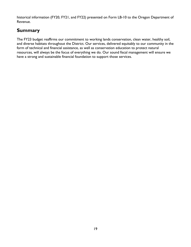historical information (FY20, FY21, and FY22) presented on Form LB-10 to the Oregon Department of Revenue.

## <span id="page-18-0"></span>**Summary**

The FY23 budget reaffirms our commitment to working lands conservation, clean water, healthy soil, and diverse habitats throughout the District. Our services, delivered equitably to our community in the form of technical and financial assistance, as well as conservation education to protect natural resources, will always be the focus of everything we do. Our sound fiscal management will ensure we have a strong and sustainable financial foundation to support those services.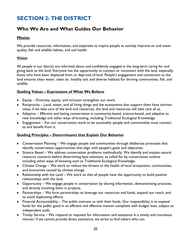## <span id="page-19-0"></span>**SECTION 2: THE DISTRICT**

## <span id="page-19-1"></span>**Who We Are and What Guides Our Behavior**

#### <span id="page-19-2"></span>**Mission**

We provide resources, information, and expertise to inspire people to actively improve air and water quality, fish and wildlife habitat, and soil health.

#### <span id="page-19-3"></span>**Vision**

All people in our district are informed about and confidently engaged in the long-term caring for and giving back to the land. Everyone has the opportunity to connect or reconnect with the land, especially those who have been displaced from or deprived of land. People's engagement and connection to the land ensures clean water, clean air, healthy soil, and diverse habitats for thriving communities, fish, and wildlife.

#### <span id="page-19-4"></span>**Guiding Values – Expressions of What We Believe**

- Equity Diversity, equity, and inclusion strengthen our work.
- Reciprocity Land, water, and all living things and the ecosystems that support them have intrinsic value; if we take care of the land and resources, the land and resources will take care of us.
- Adaptive Effective and lasting conservation is community-based, science-based, and adaptive to new knowledge and other ways of knowing, including Traditional Ecological Knowledge.
- Engagement For our conservation work to be successful, people and communities must connect to and benefit from it.

#### <span id="page-19-5"></span>**Guiding Principles – Determinants that Explain Our Behavior**

- Conservation Planning We engage people and communities through deliberate processes that identify conservation opportunities that align with people's goals and objectives.
- Science Based We address conservation problems methodically. We identify and analyze natural resource concerns before determining best solutions, as called for by conservation science including other ways of knowing such as Traditional Ecological Knowledge.
- Climate Change We work to reduce the threats to the health of local ecosystems, communities, and economies caused by climate change.
- Relationship with the Land We work so that all people have the opportunity to build positive relationships with the land.
- Opportunity We engage people in conservation by sharing information, demonstrating practices, and directly involving them in projects.
- Partnerships We form partnerships to leverage our resources and funds, expand our reach, and to avoid duplicating efforts.
- Financial Accountability The public entrusts us with their funds. Our responsibility is to expend funds for the public good in an efficient and effective manner compliant with budget laws, subject to independent audit.
- Timely Service We respond to requests for information and assistance in a timely and courteous manner; if we cannot provide direct assistance, we strive to find others who can.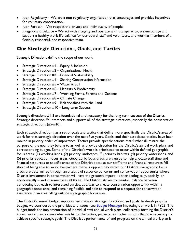- Non-Regulatory We are a non-regulatory organization that encourages and provides incentives for voluntary conservation.
- Non-Partisan We respect the privacy and individuality of people.
- Integrity and Balance We act with integrity and operate with transparency; we encourage and support a healthy work-life balance for our board, staff and volunteers, and work as members of a flexible, respectful, and responsive team.

### <span id="page-20-0"></span>**Our Strategic Directions, Goals, and Tactics**

Strategic Directions define the scope of our work.

- Strategic Direction  $#I$  Equity & Inclusion
- Strategic Direction #2 Organizational Health
- Strategic Direction  $#3$  Financial Sustainability
- Strategic Direction #4 Sharing Conservation Information
- Strategic Direction #5 Water & Soil
- Strategic Direction  $#6$  Habitats & Biodiversity
- Strategic Direction #7 Working Farms, Forests and Gardens
- Strategic Direction #8 Climate Change
- Strategic Direction  $#9 -$  Relationships with the Land
- Strategic Direction #10 Long-term Success

Strategic directions #1-3 are foundational and necessary for the long-term success of the District. Strategic direction #4 intersects and supports all of the strategic directions, especially the conservation strategic directions (#5-#10).

Each strategic direction has a set of goals and tactics that define more specifically the District's area of work for that strategic direction over the next five years. Goals, and their associated tactics, have been ranked in priority order of importance. Tactics provide specific actions that further illuminate the purpose of the goal they belong to as well as provide direction for the District's annual work plans and corresponding budget. Some of the District's work is prioritized to occur within defined geographic focus areas: (1) working lands, (2) priority landscapes, (3) priority habitats, (4) priority watersheds, and (5) priority education focus areas. Geographic focus areas are a guide to help allocate staff time and financial resources to specific areas of the District because our staff time and financial resources fall short of being able to work everywhere there is opportunity within our District. Geographic focus areas are determined through an analysis of resource concerns and conservation opportunity where District investment in conservation will have the greatest impact – either ecologically, socially, or economically – and in some cases all three. The District strives to maintain balance between conducting outreach to interested parties, as a way to create conservation opportunity within a geographic focus area, and remaining flexible and able to respond to a request for conservation assistance in an area falling outside a geographic focus area.

The District's annual budget supports our mission, strategic directions, and goals. In developing the budget, we considered the priorities and issues (see **Budget Message**) impacting our work in FY23. The budget funds the implementation of individual staff annual work plans, collectively forming the District's annual work plan, a comprehensive list of the tactics, projects, and other actions that are necessary to achieve specific strategic goals. The District's performance of and progress on the annual work plan is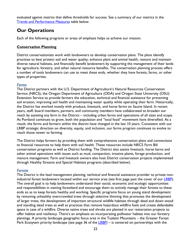evaluated against metrics that define thresholds for success. See a summary of our metrics in the [Trends and Performance Measures](#page-30-0) table below.

### <span id="page-21-0"></span>**Our Operations**

Each of the following programs or areas of emphasis helps us achieve our mission.

#### <span id="page-21-1"></span>**Conservation Planning**

District conservationists work with landowners to develop conservation plans. The plans identify practices to best protect soil and water quality, enhance plant and animal health, restore and maintain diverse natural habitats, and financially benefit landowners by supporting the management of their lands for agriculture, forestry, and other natural resource benefits. The conservation planning process offers a number of tools landowners can use to meet these ends, whether they have forests, farms, or other types of properties.

#### *Farms*

The District partners with the U.S. Department of Agriculture's Natural Resources Conservation Service (NRCS), the Oregon Department of Agriculture (ODA) and Oregon State University (OSU) Extension Service to provide farmers the education, technical and financial assistance for preventing soil erosion, improving soil health and maintaining water quality while operating their farm. Historically, the District has worked mostly with produce, livestock, and horse farms on Sauvie Island. In recent years, staff, board members, partners, and community members have collaborated to broaden our reach by assisting any farm in the District – including urban farms and operations of all sizes and scope. As Portland continues to grow, both the population and "local food" movement have diversified. As a result, the farms and farmers within the district have changed in the last 10 years. Consistent with our LRBP strategic direction on diversity, equity, and inclusion, our farms program continues to evolve to reach those newer to farming.

The District helps farmers by providing them with comprehensive conservation plans and connections to financial resources to help them with soil health. These resources include NRCS Farm Bill conservation programs as well as District funding. The District also assists livestock, horse barns and other animal operations with issues such as mud, compaction, invasive plants, forage production, and manure management. Farm and livestock owners also host District conservation projects implemented through Healthy Streams and Special Habitats programs (described below).

#### *Forests*

The District is the lead management planning, technical and financial assistance provider to private non-industrial forest landowners located within our service area (see first page past the cover of our [LRBP\)](https://wmswcd.org/wp-content/uploads/2021/07/WMSWCD-LRBP2021-25-final-7.2.21.pdf). The overall goal is to help landowners understand their social, economic and ecologic opportunities and responsibilities in owning forestland and encourage them to actively manage their forests to these ends so as to keep forests healthy and working. Specific programs focus on young stand development by removing unhealthy overcrowded trees through selective thinning that promotes the development of larger trees, the development of important structural wildlife habitats through dead and down wood and standing dead trees as well as practices that remove hazardous wildfire fuels and create defendable space in case of a wildfire. Diverse native trees and shrubs are planted in our restoration projects to offer habitat and resiliency. There's an emphasis on incorporating pollinator habitat into our forestry plantings. A priority landscape geographic focus area in the Tualatin Mountains – the Greater Forest Park Ecosytem priority landscape (see page 36 of the [LRBP\)](https://wmswcd.org/wp-content/uploads/2021/07/WMSWCD-LRBP2021-25-final-7.2.21.pdf) – is centered on partnerships with the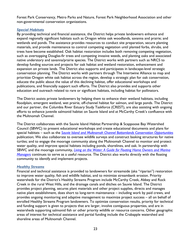Forest Park Conservancy, Metro Parks and Nature, Forest Park Neighborhood Association and other non-governmental conservation organizations.

#### *Special Habitats*

By providing technical and financial assistance, the District helps private landowners enhance and expand regionally significant habitats such as Oregon white oak woodlands, savanna and prairie; and wetlands and ponds. The assistance provides resources to conduct site preparation, secure planting materials, and provide maintenance to control competing vegetation until planted forbs, shrubs, and trees have become established. Oak habitat restoration includes both removing competing vegetation, such as overtopping Douglas-fir trees and competing invasive weeds, and planting oaks and associated native understory and savanna/prairie species. The District works with partners such as NRCS to develop funding sources and projects for oak habitat and wetland restoration, enhancement and expansion on private lands. The District also supports and participates in landscape-level strategic conservation planning. The District works with partners through The Intertwine Alliance to map and prioritize Oregon white oak habitat across the region, develop a strategic plan for oak conservation, educate the public about the value of this declining habitat, offer educational workshops and publications, and financially support such efforts. The District also provides and supports other education and outreach related to rare or significant habitats, including habitat for pollinators.

The District assists private landowners by helping them to enhance their wetland habitats, including floodplain, emergent wetland, wet prairie, off-channel habitat for salmon, and large ponds. The District and our partner, the Columbia River Estuary Study Taskforce (CREST), are also assisting with ongoing efforts to enhance juvenile salmonid habitat on Sauvie Island and at McCarthy Creek's confluence with the Multnomah Channel.

The District collaborates with the Sauvie Island Habitat Partnership & Scappoose Bay Watershed Council (SBWC) to present educational workshops and create educational documents and plans for special habitats – such as the *[Sauvie Island and Multnomah Channel Bottomlands Conservation Opportunities](https://wmswcd.org/wp-content/uploads/2015/08/SICO_10-15-18_web-version_vert-maps.pdf)* publication; We also collaborate to oversee wildlife surveys and construct basking structures for native turtles; and to engage the moorage community along the Multnomah Channel to monitor and protect water quality, and improve special habitats including ponds, shorelines, and oak. In partnership with SBWC and the moorage community, *[Living on the Water: A Guide for Floating Home Owners and Marina](https://wmswcd.org/wp-content/uploads/2016/05/Living-on-the-Water_Version-2_2020_FINAL_web.pdf)  [Managers](https://wmswcd.org/wp-content/uploads/2016/05/Living-on-the-Water_Version-2_2020_FINAL_web.pdf)* continues to serve as a useful resource. The District also works directly with the floating community to identify and implement projects.

#### *Healthy Streams*

Financial and technical assistance is provided to landowners for streamside (aka "riparian") restoration to improve water quality, fish and wildlife habitat, and to minimize streambank erosion. Priority watersheds for the District's Healthy Streams Program include McCarthy Creek, Abbey and Rock Creek in the rural West Hills, and the drainage canals and ditches on Sauvie Island. The District provides project planning, secures plant materials and other project supplies, directs and manages native plant establishment, does short to long-term maintenance – including work by paid crews, and provides ongoing monitoring and adaptive management to maximize project success – all on behalf of enrolled Healthy Streams Program landowners. To optimize conservation results, priority for technical and funding support is given to projects that are larger, involve contiguous properties, and are in watersheds supporting salmonid fish or other priority wildlife or resource concerns. Other geographic areas of interest for technical assistance and partial funding include the Crabapple watershed and shoreline areas of Multnomah Channel.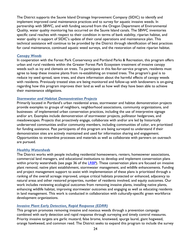The District supports the Sauvie Island Drainage Improvement Company (SIDIC) to identify and implement improved canal maintenance practices and to survey for aquatic invasive weeds. In partnership with SBWC, and with funding secured from the Oregon Department of Environmental Quality, water quality monitoring has occurred on the Sauvie Island canals. The SBWC inventories specific canal reaches with respect to their condition in terms of bank stability, riparian habitat, and water quality in support of SIDIC's update of their canal operations and maintenance plan. This technical assistance will continue to be provided by the District through identification of best practices for canal maintenance, continued aquatic weed surveys, and the restoration of native riparian habitat.

#### *Canopy Weeds*

In cooperation with the Forest Park Conservancy and Portland Parks & Recreation, this program offers urban and rural residents within the Greater Forest Park Ecosystem treatment of invasive canopy weeds such as ivy and clematis on trees. To participate in this fee-for-service program, residents must agree to keep these invasive plants from re-establishing on treated trees. The program's goal is to reduce ivy seed spread, save trees, and share information about the harmful effects of canopy weeds with residents. Previously treated sites are being monitored and follow-up with landowners is on-going regarding how this program improves their land as well as how well they have been able to achieve their maintenance obligations.

#### *Stormwater and Habitat Demonstration Projects*

Primarily located in Portland's urban residential areas, stormwater and habitat demonstration projects provide examples to groups of neighbors, neighborhood associations, community organizations, and businesses of implemented urban conservation practices, including the use of interpretive signage and/or art. Examples include demonstration of stormwater projects, pollinator hedgerows, and meadowscapes. Projects that proactively engage, collaborate with and/or are led by historically underserved communities and/or community members, including communities of color, are prioritized for funding assistance. Past participants of this program are being surveyed to understand if their demonstration sites are actively maintained and used for information sharing and engagement. Opportunities to streamline processes and materials as well as collaborate with partners on outreach are pursued.

#### *Healthy Watersheds*

The District works with people including residential homeowners, renters, homeowner associations, commercial land managers, and educational institutions to develop and implement conservation plans within priority watersheds (see page 36 of the [LRBP\)](https://wmswcd.org/wp-content/uploads/2021/07/WMSWCD-LRBP2021-25-final-7.2.21.pdf). These conservation plans are focused on invasive plant removal, native plant establishment, stormwater management, and wildlife enhancements. Funding and project management support to assist with implementation of these plans is prioritized through a ranking of the overall acreage improved, unique critical habitats protected or enhanced, adjacency to natural areas and other restored properties, number of residents involved, and equity outcomes. Our work includes reviewing ecological outcomes from removing invasive plants, installing native plants, enhancing wildlife habitat, improving stormwater outcomes and engaging as well as educating residents in land management. This work is conducted in collaboration with culturally-specific green workforce development organizations.

#### *Invasive Plant Early Detection, Rapid Response (EDRR)*

This program promotes removing invasive and noxious weeds through a prevention campaign combined with early detection and rapid response through surveying and timely control measures. Priority invasive targets are garlic mustard, false brome, knotweed, spurge laurel, giant hogweed, orange hawkweed, and common reed. The District seeks to expand this program to include the survey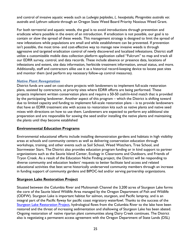and control of invasive aquatic weeds such as *Ludwigia peploides*, *L. hexapetala, Phragmities australis var. australis* and *Lythrum salicaria* through an Oregon State Weed Board Priority Noxious Weed Grant.

For both terrestrial and aquatic weeds, the goal is to avoid introductions through prevention and eradicate where possible in the event of an introduction. If eradication is not possible, our goal is to contain or slow the spread of these weeds. This management strategy is designed to limit the spread of new infestations while populations are small and while establishment can be prevented. If prevention isn't possible, the most time- and cost-effective way to manage new invasive weeds is through aggressive and targeted eradication control of newly discovered and localized infestations. District staff utilize a customizable mobile data collection platform application called "Fulcrum" to map and track all our EDRR survey, control, and data records. These include absence or presence data, locations of infestations and extent, site data information, herbicide treatment information, annual status, and more. Additionally, staff and contractors alike use it as a historical record-keeping device to locate past sites and monitor them (and perform any necessary follow-up control measures).

#### *Native Plant Revegetation*

District funds are used on cost-share projects with landowners to implement full-scale restoration plans, assisted by contractors, at priority sites where EDRR efforts are being performed. These projects implement written conservation plans and require a 50-50 cash/in-kind match that is provided by the participating landowner. Another aspect of this program – which the District is shifting toward due to limited capacity and funding to implement full-scale restoration plans – is to provide landowners that have an EDRR treatment site with access to restoration kits such as native plants and native seed mixes with directions on how to use them. Landowners are expected to perform any additional site preparation and are responsible for sowing the seed and/or installing the native plants and maintaining the plants until they become established

#### <span id="page-24-0"></span>**Environmental Education Programs**

Environmental educational efforts include installing demonstration gardens and habitats in high visibility areas at schools and community centers as well as delivering conservation education through workshops, training, and other events such as Soil School, Weed Watchers, Tree School, and Stormwater Stars. The District also provides education program funding or in kind support to partner organizations such as the Sauvie Island Center, Ecology in Classrooms and Outdoors, and Friends of Tryon Creek. As a result of the Education Niche Finding project, the District will be responding to diverse community and education leaders' requests to better facilitate land access and related educational activities that best serve historically underserved community members through an increase in funding support of community gardens and BIPOC-led and/or serving partnership organizations.

#### <span id="page-24-1"></span>**Sturgeon Lake Restoration Project**

Situated between the Columbia River and Multnomah Channel the 3,200 acres of Sturgeon Lake forms the core of the Sauvie Island Wildlife Area managed by the Oregon Department of Fish and Wildlife (ODFW). Sturgeon Lake is important habitat for salmon, sturgeon, and Pacific lamprey, and is an integral part of the Pacific flyway for pacific coast migratory waterfowl. Thanks to the success of the [Sturgeon Lake Restoration Project,](https://wmswcd.org/types/sturgeon-lake/) hydrological flows from the Columbia River to the lake have been restored and the threat of increasing sedimentation and shallowing of Sturgeon Lake has been abated. Ongoing restoration of native riparian plant communities along Dairy Creek continues. The District also is negotiating a permanent access agreement with the Oregon Department of State Lands (DSL)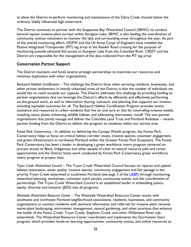to allow the District to perform monitoring and maintenance of the Dairy Creek channel below the ordinary, tidally influenced high watermark.

The District continues to partner with the Scappoose Bay Watershed Council (SBWC) to conduct biennial aquatic invasive plant surveys within Sturgeon Lake. SBWC is also leading the coordination of community science volunteers to monitor the lake and surrounding areas throughout the year. As part of the overall monitoring effort, ODFW and the US Army Corps of Engineers have installed the Passive Integrated Transponder (PIT) tag array at the Reeder Road crossing for the purpose of monitoring juvenile salmonid fish access to Sturgeon Lake from the Columbia River. CREST and the District are responsible for the management of the data collected from the PIT tag array.

#### <span id="page-25-0"></span>**Conservation Partner Support**

The District maintains and funds several strategic partnerships to maximize our resources and minimize duplication with other organizations.

*Backyard Habitat Certification* – The challenge the District faces when servicing residents, businesses, and other private landowners in heavily urbanized areas of the District is that the number of individuals we would like to reach exceeds our capacity. The District addresses this challenge by providing funding to partner organizations that can leverage the District's efforts by efficiently and effectively performing on-the-ground work, as well as information sharing, outreach, and planning that supports our mission, including equitable outcomes for all. The Backyard Habitat Certification Program provides onsite assistance and resources to urban residents that live on one acre or less for controlling invasive weeds, installing native plants, enhancing wildlife habitat, and addressing stormwater runoff. The two partner organizations that jointly manage and deliver the Columbia Land Trust and Portland Audubon – receive partner funding from the District to deliver the program to residents within our service area.

*Forest Park Conservancy --* In addition to delivering the Canopy Weeds program, the Forest Park Conservancy helps us focus on critical habitat corridor issues, invasive species, volunteer engagement, and green infrastructure in northwest Portland within the Greater Forest Park Ecosytem). The Forest Park Conservancy has been a leader in developing a green workforce intern program centered on process access to Black, Indigenous and other people of color to natural resource jobs and career opportunities and the District hosts work conducted by Forest Park Conservancy green workforce intern program at project sites.

*Tryon Creek Watershed Council* – The Tryon Creek Watershed Council focuses on riparian and upland habitat restoration, water quality, invasive species, community engagement and fish passage in the priority Tryon Creek watershed in southwest Portland (see page 3 of the [LRBP\)](https://wmswcd.org/wp-content/uploads/2021/07/WMSWCD-LRBP2021-25-final-7.2.21.pdf) through monitoring, watershed planning, workshops, volunteer work parties, community events, and the coordination of partnerships. The Tryon Creek Watershed Council is an established leader in embedding justice, equity, diversity and inclusion (JEDI) into all programs.

*Westside Watershed Resource Center* – The Westside Watershed Resource Center works with southwest and northwest Portland neighborhood associations, residents, businesses, and community organizations to connect residents with technical information and referrals for invasive plant removal, native plant landscaping, stormwater management, natural gardening, and other practices that enhance the health of the Fanno Creek, Tryon Creek, Stephens Creek, and other Willamette River subwatersheds. The Watershed Resource Center coordinates and implements the Stormwater Stars program, which provides hands-on learning opportunities, community events, and online resources to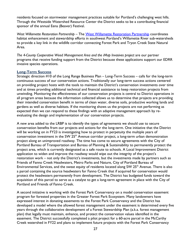residents focused on stormwater management practices suitable for Portland's challenging west hills. Through the Westside Watershed Resource Center the District seeks to be a contributing financial sponsor of the annual Eena (Beaver) Festival.

West Willamette Restoration Partnership - The [West Willamette Restoration Partnership](https://www.westwillamette.org/) coordinates habitat enhancement and stewardship efforts in southwest Portland's Willamette River sub-watersheds to provide a key link in the wildlife corridor connecting Forest Park and Tryon Creek State Natural Area.

*The 4-County Cooperative Weed Management Area and the iMap Invasives project* are our partner programs that receive funding support from the District because these applications support our EDRR invasive species operations.

#### <span id="page-26-0"></span>**Long-Term Success**

Strategic direction #10 of the Long Range Business Plan – Long-Term Success – calls for the long-term continuous success of our conservation actions. Traditionally our long-term success actions centered on providing project hosts with the tools to maintain the District's conservation investments over time and at times providing additional technical and financial assistance to keep restoration projects from unwinding. Monitoring the effectiveness of our conservation projects is central to District operations in all program areas because the information collected allows us to determine that projects are providing their intended conservation benefit in terms of clean water, diverse soils, productive working lands and gardens as well as diverse habitats. If the monitoring shows us the projects are not performing as expected then we can respond to these findings with an adaptive management approach by reevaluating the design and implementation of our conservation projects.

A new area added to the LRBP is to identify the types of agreements we should use to secure conservation benefits from our projects and actions for the long-term. One initiative that the District will be working on in FY23 is investigating how to protect in perpetuity the multiple years of conservation investment in the SW  $25<sup>th</sup>$  Avenue corridor project, a long-term urban demonstration project along an unimproved roadway. The time has come to secure agreements with the City of Portland Bureau of Transportation and Bureau of Planning & Sustainability to permanently protect the project area, which is currently designated as a safe route to schools. A Local Improvement District application to widen and improve the roadway would wipe out the integrity of the project's restoration work – not only the District's investments, but the investments made by partners such as Friends of Fanno Creek Headwaters, Metro Parks and Nature, City of Portland Bureau of Environmental Services, and the sweat equity of residents located along SW 25<sup>th</sup> Avenue. There is also a parcel containing the source headwaters for Fanno Creek that if acquired for conservation would protect the headwaters permanently from development. The District has budgeted funds toward the acquisition of this parcel to serve as a catalyst to get a long-term agreement in place with the City of Portland and Friends of Fanno Creek.

A second initiative is working with the Forest Park Conservancy on a model conservation easement program for forested properties in the Greater Forest Park Ecosystem. Many landowners have expressed interest in donating easements to the Forest Park Conservancy and the District has developed a model where the allowed forest management under the easement is determined every five years through the collaborative development of a Forest Stewardship Plan (a.k.a. forest management plan) that legally must maintain, enhance, and protect the conservation values identified in the easement. The District successfully completed a pilot project for a 60-acre parcel in the McCarthy Creek watershed in FY22 and plans to implement future projects with the Forest Park Conservancy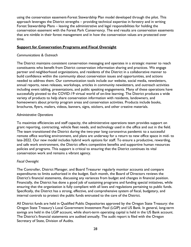using the conservation easement-Forest Stewardship Plan model developed through the pilot. This approach leverages the District strengths – providing technical expertise in forestry and in writing Forest Stewardship Plans – leaving the administrative and legal responsibilities for holding the conservation easement with the Forest Park Conservancy. The end results are conservation easements that are nimble in their forest management and in how the conservation values are protected over time.

#### <span id="page-27-0"></span>**Support for Conservation Programs and Fiscal Oversight**

#### *Communications & Outreach*

The District maintains consistent conservation messaging and operates in a strategic manner to reach constituents who benefit from District conservation information sharing and practices. We engage partner and neighborhood organizations, and residents of the District in a collaborative manner to build confidence within the community about conservation issues and opportunities, and actions needed to address them. Our communication tools include our website, social media, newsletters, annual reports, news releases, workshops, articles in community newsletters, and outreach activities including event tabling, presentations, and public speaking engagements. Many of these operations have successfully pivoted to the COVID-19 virtual world of on-line learning. The District produces a wide variety of products to help share conservation information with residents, landowners, and homeowners about priority program areas and conservation activities. Products include books, brochures, flyers, mailers, videos, banners, signs, stickers, and other creative materials.

#### *Administrative Operations*

To maximize efficiencies and staff capacity, the administrative operations team provides support on grant reporting, contracting, vehicle fleet needs, and technology used in the office and out in the field. The team transitioned the District during the two-year long coronavirus pandemic to a successful remote office working environment, and plans are underway for a return to new office space in mid- to late-2022. Our new model includes hybrid work options for staff. To ensure a productive, rewarding, and safe work environment, the District offers competitive benefits and supportive human resources policies and programs. This support is critical to ensuring that the District continues its vital conservation work and remains a vibrant agency.

#### *Fiscal Oversight*

The Controller, District Manager, and Board Treasurer regularly monitor accounts and compare expenditures to limits authorized in the budget. Each month, the Board of Directors reviews the District's financial statements, discussing any variances from budget and changes in financial position. Financially, the District has done a good job of sustaining programs and funding special initiatives, while ensuring that the organization is fully compliant with all laws and regulations pertaining to public funds. Specifically, the District has a strong, effective, and comprehensive system of fiscal, budgetary, and internal controls to protect the public funds entrusted to the care of the District.

All District funds are held in Qualified Public Depositories approved by the Oregon State Treasury: the Oregon State Treasury's Local Government Investment Pool (LGIP) and US Bank. In general, long-term savings are held in the LGIP account, while short-term operating capital is held in the US Bank account. The District's financial statements are audited annually. The audit report is filed with the Oregon Secretary of State, Division of Audits.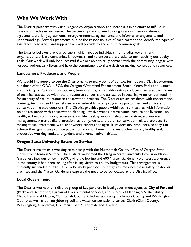## <span id="page-28-0"></span>**Who We Work With**

The District partners with various agencies, organizations, and individuals in an effort to fulfill our mission and achieve our vision. The partnerships are formed through various memorandums of agreement, working agreements, intergovernmental agreements, and informal arrangements and understandings. Formal agreements outline the responsibilities of each partner and identify the types of assistance, resources, and support each will provide to accomplish common goals.

The District believes that our partners, which include individuals, non-profits, government organizations, private companies, landowners, and volunteers, are crucial to our reaching our equity goals. Our work will only be successful if we are able to truly partner with the community, engage with respect, authentically listen, and have the commitment to share decision making, control, and resources.

#### <span id="page-28-1"></span>**Landowners, Producers, and People**

We would like people to see the District as its primary point of contact for not only District programs but those of the ODA, NRCS, the Oregon Watershed Enhancement Board, Metro Parks and Nature and the City of Portland. Landowners, tenants and agricultural/forestry producers can avail themselves of technical assistance with natural resource concerns and assistance in securing grant or loan funding for an array of natural resource conservation projects. The District assists residents with conservation planning, technical and financial assistance, federal farm bill program opportunities, and answers to conservation-related questions. The District provides people within our service area with information on and assistance with conservation planning, invasive weeds, native plants, pasture and livestock, soil health, soil erosion, funding assistance, wildlife, healthy woods, habitat restoration, stormwater management, water quality protection, school gardens, and other conservation-related projects. By making these investments with landowners, tenants and agricultural/forestry producers, so they can achieve their goals, we produce public conservation benefit in terms of clean water, healthy soil, productive working lands, and gardens and diverse native habitats.

#### <span id="page-28-2"></span>**Oregon State University Extension Service**

The District maintains a working relationship with the Multnomah County office of Oregon State University Extension Service. The District welcomed the Oregon State University Extension Master Gardeners into our office in 2009, giving the hotline and 600 Master Gardener volunteers a presence in the county it had been lacking after falling victim to county budget cuts. This arrangement is currently suspended due to COVID-19 safety protocols but may resume once these safety protocols are lifted and the Master Gardeners express the need to be co-located at the District office.

#### <span id="page-28-3"></span>**Local Government**

The District works with a diverse group of key partners in local government agencies: City of Portland (Parks and Recreation, Bureau of Environmental Services, and Bureau of Planning & Sustainability), Metro Parks and Nature, Multnomah County, Clackamas County, Columbia County and Washington County as well as our neighboring soil and water conservation districts: Clark (Clark County, Washington), Clackamas, Columbia, East Multnomah, and Tualatin.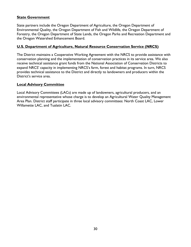#### <span id="page-29-0"></span>**State Government**

State partners include the Oregon Department of Agriculture, the Oregon Department of Environmental Quality, the Oregon Department of Fish and Wildlife, the Oregon Department of Forestry, the Oregon Department of State Lands, the Oregon Parks and Recreation Department and the Oregon Watershed Enhancement Board.

#### <span id="page-29-1"></span>**U.S. Department of Agriculture, Natural Resource Conservation Service (NRCS)**

The District maintains a Cooperative Working Agreement with the NRCS to provide assistance with conservation planning and the implementation of conservation practices in its service area. We also receive technical assistance grant funds from the National Association of Conservation Districts to expand NRCS' capacity in implementing NRCS's farm, forest and habitat programs. In turn, NRCS provides technical assistance to the District and directly to landowners and producers within the District's service area.

#### <span id="page-29-2"></span>**Local Advisory Committee**

Local Advisory Committees (LACs) are made up of landowners, agricultural producers, and an environmental representative whose charge is to develop an Agricultural Water Quality Management Area Plan. District staff participate in three local advisory committees: North Coast LAC, Lower Willamette LAC, and Tualatin LAC.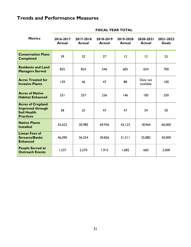## <span id="page-30-0"></span>**Trends and Performance Measures**

| <b>Metrics</b>                                                                                | 2016-2017<br><b>Actual</b> | 2017-2018<br><b>Actual</b> | 2018-2019<br><b>Actual</b> | 2019-2020<br><b>Actual</b> | 2020-2021<br><b>Actual</b> | 2021-2022<br><b>Goals</b> |
|-----------------------------------------------------------------------------------------------|----------------------------|----------------------------|----------------------------|----------------------------|----------------------------|---------------------------|
| <b>Conservation Plans</b><br><b>Completed</b>                                                 | 39                         | 32                         | 27                         | 12                         | 12                         | 25                        |
| <b>Residents and Land</b><br><b>Managers Served</b>                                           | 825                        | 824                        | 546                        | 605                        | 654                        | 700                       |
| <b>Acres Treated for</b><br><b>Invasive Plants</b>                                            | 129                        | 46                         | 47                         | 88                         | Data not<br>available      | 100                       |
| <b>Acres of Native</b><br><b>Habitat Enhanced</b>                                             | 251                        | 257                        | 236                        | 146                        | 183                        | 250                       |
| <b>Acres of Cropland</b><br><b>Improved through</b><br><b>Soil Health</b><br><b>Practices</b> | 38                         | 25                         | 47                         | 47                         | 34                         | 50                        |
| <b>Native Plants</b><br><b>Installed</b>                                                      | 55,623                     | 30,985                     | 69,926                     | 43,123                     | 18,964                     | 60,000                    |
| <b>Linear Feet of</b><br><b>Streams/Banks</b><br><b>Enhanced</b>                              | 46,090                     | 36,254                     | 30,826                     | 31,311                     | 25,882                     | 30,000                    |
| <b>People Served at</b><br><b>Outreach Events</b>                                             | 1,237                      | 2,570                      | 1,915                      | 1,682                      | 660                        | 2,000                     |

#### **FISCAL YEAR TOTAL**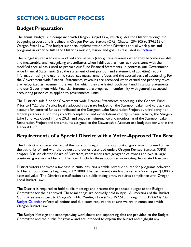## <span id="page-31-0"></span>**SECTION 3: BUDGET PROCESS**

### <span id="page-31-1"></span>**Budget Preparation**

The annual budget is in compliance with Oregon Budget Law, which guides the District through the budgeting process and is defined in Oregon Revised Statute (ORS) Chapter 294.305 to 294.565 of Oregon State Law. The budget supports implementation of the District's annual work plans and programs in order to fulfill the District's mission, vision, and goals as discussed in **Section 2.** 

The budget is prepared on a modified accrual basis (recognizing revenues when they become available and measurable, and recognizing expenditures when liabilities are incurred), consistent with the modified accrual basis used to prepare our Fund Financial Statements. In contrast, our Governmentwide Financial Statements (i.e., the statement of net position and statement of activities) report information using the economic resources measurement focus and the accrual basis of accounting. For the Government-wide Financial Statements, revenues are recorded when earned and property taxes are recognized as revenue in the year for which they are levied. Both our Fund Financial Statements and our Government-wide Financial Statement are prepared in conformity with generally accepted accounting principles as applied to governmental units.

The District's sole fund for Government-wide Financial Statements reporting is the General Fund. Prior to FY22, the District legally adopted a separate budget for the Sturgeon Lake Fund to track and account for external funds contributed to the Sturgeon Lake Restoration Project by third-party nonfederal partners. Upon the project's completion and expectations of only minimal activity, the Sturgeon Lake Fund was closed in June 2021, and ongoing maintenance and monitoring of the Sturgeon Lake Restoration Project and the amounts assigned to the Stewardship Account are budgeted for within the General Fund.

### <span id="page-31-2"></span>**Requirements of a Special District with a Voter-Approved Tax Base**

The District is a special district of the State of Oregon. It is a local unit of government formed under the authority of, and with the powers and duties described under, Oregon Revised Statutes (ORS) chapter 568. An elected Board of Directors, representing five geographical zones and two at-large positions, governs the District. The Board includes three appointed non-voting Associate Directors.

District voters approved a tax base in 2006, ensuring a stable revenue source for programs delivered to District constituents beginning in FY 2008. The permanent rate limit is set at 7.5 cents per \$1,000 of assessed value. The District's classification as a public taxing entity requires compliance with Oregon Local Budget Law.

The District is required to hold public meetings and present the proposed budget to the Budget Committee for their approval. These meetings are normally held in April. All meetings of the Budget Committee are subject to Oregon's Public Meetings Law (ORS 192.610 through ORS 192.690). Our **[Budget Calendar](#page-34-0)** reflects all actions and due dates required to ensure we are in compliance with Oregon Budget Law.

The Budget Message and accompanying worksheets and supporting data are provided to the Budget Committee and the public for review and are intended to explain the budget and highlight any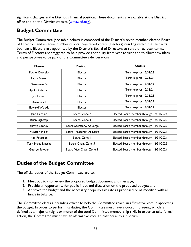significant changes in the District's financial position. These documents are available at the District office and on the District website [\(wmswcd.org\)](http://www.wmswcd.org/).

## <span id="page-32-0"></span>**Budget Committee**

The Budget Committee (see table below) is composed of the District's seven-member elected Board of Directors and an equal number of local registered voters (Electors) residing within the District's boundary. Electors are appointed by the District's Board of Directors to serve three-year terms. Terms of Electors are staggered to help provide continuity from year to year and to allow new ideas and perspectives to be part of the Committee's deliberations.

| <b>Name</b>          | <b>Position</b>           | <b>Status</b>                           |
|----------------------|---------------------------|-----------------------------------------|
| Rachel Dvorsky       | Elector                   | Term expires 12/31/23                   |
| Laura Foster         | Elector                   | Term expires 12/31/24                   |
| Genevieve Fu         | Elector                   | Term expires 12/31/24                   |
| April Gutierrez      | Elector                   | Term expires 12/31/24                   |
| Jan Hamer            | Elector                   | Term expires 12/31/23                   |
| Xuan Sibell          | Elector                   | Term expires 12/31/22                   |
| <b>Edward Woods</b>  | Elector                   | Term expires 12/31/22                   |
| Jane Hartline        | Board, Zone 2             | Elected Board member through 12/31/2024 |
| Brian Lightcap       | Board, Zone 4             | Elected Board member through 12/31/2022 |
| Shawn Looney         | Board Secretary, At-Large | Elected Board member through 12/31/2022 |
| <b>Weston Miller</b> | Board Treasurer, At-Large | Elected Board member through 12/31/2024 |
| Kim Peterson         | Board, Zone I             | Elected Board member through 12/31/2024 |
| Terri Preeg Riggsby  | Board Chair, Zone 5       | Elected Board member through 12/31/2022 |
| George Sowder        | Board Vice-Chair, Zone 3  | Elected Board member through 12/31/2024 |

## <span id="page-32-1"></span>**Duties of the Budget Committee**

The official duties of the Budget Committee are to:

- 1. Meet publicly to review the proposed budget document and message;
- 2. Provide an opportunity for public input and discussion on the proposed budget; and
- 3. Approve the budget and the necessary property tax rate as proposed or as modified with all funds in balance.

The Committee elects a presiding officer to help the Committee reach an affirmative vote in approving the budget. In order to perform its duties, the Committee must have a quorum present, which is defined as a majority (eight or more) of the total Committee membership (14). In order to take formal action, the Committee must have an affirmative vote at least equal to a quorum.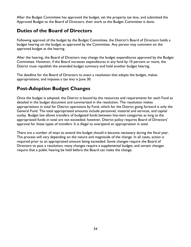After the Budget Committee has approved the budget, set the property tax levy, and submitted the Approved Budget to the Board of Directors, their work as the Budget Committee is done.

## <span id="page-33-0"></span>**Duties of the Board of Directors**

Following approval of the budget by the Budget Committee, the District's Board of Directors holds a budget hearing on the budget as approved by the Committee. Any person may comment on the approved budget at the hearing.

After the hearing, the Board of Directors may change the budget expenditures approved by the Budget Committee. However, if the Board increases expenditures in any fund by 10 percent or more, the District must republish the amended budget summary and hold another budget hearing.

The deadline for the Board of Directors to enact a resolution that adopts the budget, makes appropriations, and imposes a tax levy is June 30.

## <span id="page-33-1"></span>**Post-Adoption Budget Changes**

Once the budget is adopted, the District is bound by the resources and requirements for each Fund as detailed in the budget document and summarized in the resolution. The resolution makes appropriations in total for District operations by Fund, which for the District going forward is only the General Fund. The total appropriated amounts include personnel, material and services, and capital outlay. Budget law allows transfers of budgeted funds between line-item categories as long as the appropriated funds in total are not exceeded; however, District policy requires Board of Directors' approval for these types of transfers. It is illegal to overspend an appropriation in total.

There are a number of ways to amend the budget should it become necessary during the fiscal year. The process will vary depending on the nature and magnitude of the change. In all cases, action is required prior to an appropriated amount being exceeded. Some changes require the Board of Directors to pass a resolution; many changes require a supplemental budget; and certain changes require that a public hearing be held before the Board can make the change.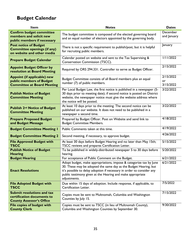## <span id="page-34-0"></span>**Budget Calendar**

| <b>Item</b>                                                                                         | <b>Notes</b>                                                                                                                                                                                                                                                                                  | <b>Dates</b>                 |
|-----------------------------------------------------------------------------------------------------|-----------------------------------------------------------------------------------------------------------------------------------------------------------------------------------------------------------------------------------------------------------------------------------------------|------------------------------|
| <b>Confirm budget committee</b><br>members and solicit new<br>public members if necessary           | The budget committee is composed of the elected governing board<br>and an equal number of electors appointed by the governing body.                                                                                                                                                           | December<br>and January      |
| <b>Post notice of Budget</b><br><b>Committee openings (if any)</b><br>on website and other media    | There is not a specific requirement to publish/post, but it is helpful<br>for recruiting public members.                                                                                                                                                                                      | January                      |
| <b>Prepare Budget Calendar</b>                                                                      | Calendar posted on website and sent to the Tax Supervising &<br>Conservation Commission (TSCC).                                                                                                                                                                                               | 1/11/2022                    |
| <b>Appoint Budget Officer by</b><br>resolution at Board Meeting                                     | Required by ORS 294.331. Controller to serve as Budget Officer.                                                                                                                                                                                                                               | 2/15/2022                    |
| <b>Appoint (if applicable) new</b><br>public members of Budget<br><b>Committee at Board Meeting</b> | Budget Committee consists of all Board members plus an equal<br>number (7) of public members.                                                                                                                                                                                                 | 2/15/2022<br>or<br>3/15/2022 |
| <b>Publish Notice of Budget</b><br><b>Committee Meeting</b>                                         | Per Local Budget Law, the first notice is published in a newspaper (5-<br>30 days prior to meeting date); if second notice is posted on District<br>website, the newspaper notice must give the website address where<br>the notice will be posted.                                           | 3/22/2022                    |
| <b>Publish 2nd Notice of Budget</b><br><b>Committee Meeting</b>                                     | At least 10 days prior to the meeting. The second notice can be<br>published on our website. It does not need to be published in a<br>newspaper a second time.                                                                                                                                | 3/22/2022                    |
| <b>Prepare Proposed Budget</b><br>and Budget Message                                                | Prepared by Budget Officer. Post on Website and send link to<br><b>Budget Committee Members.</b>                                                                                                                                                                                              | 4/18/2022                    |
| <b>Budget Committee Meeting I</b>                                                                   | Public Comments taken at this time.                                                                                                                                                                                                                                                           | 4/19/2022                    |
| <b>Budget Committee Meeting 2</b>                                                                   | Second meeting, if necessary, to approve budget.                                                                                                                                                                                                                                              | 4/26/2022                    |
| <b>File Approved Budget with</b><br><b>TSCC</b>                                                     | At least 30 days before Budget Hearing and no later than May 15th;<br>TSCC reviews and prepares Certification Letter.                                                                                                                                                                         | 5/15/2022                    |
| <b>Publish Notice of Budget</b><br><b>Hearing</b>                                                   | To be published in widely-distributed newspaper 5 to 30 days before<br>hearing.                                                                                                                                                                                                               | 5/20/2022                    |
| <b>Budget Hearing</b>                                                                               | For acceptance of Public Comment on the Budget.                                                                                                                                                                                                                                               | 6/21/2022                    |
| <b>Enact Resolutions</b>                                                                            | Adopt budget, make appropriations, impose & categorize tax by June<br>30. These may be adopted the same day as the Budget Hearing, but<br>it's possible to delay adoption if necessary in order to consider any<br>public testimony given at the Hearing and make appropriate<br>adjustments. | 6/21/2022                    |
| <b>File Adopted Budget with</b><br><b>TSCC</b>                                                      | Due within 15 days of adoption. Include response, if applicable, to<br>Certification Letter.                                                                                                                                                                                                  | 7/5/2022                     |
| <b>Submit resolutions and tax</b><br>certification documents to<br><b>County Assessor's Office</b>  | Copies must be sent to Multnomah, Columbia and Washington<br>Counties by July 15.                                                                                                                                                                                                             | 7/15/2022                    |
| <b>File copies of budget with</b><br><b>County Clerk</b>                                            | Copies must be sent to TSCC (in lieu of Multnomah County),<br>Columbia and Washington Counties by September 30.                                                                                                                                                                               | 9/30/2022                    |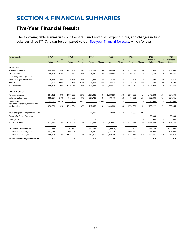## <span id="page-35-0"></span>**SECTION 4: FINANCIAL SUMMARIES**

### <span id="page-35-1"></span>**Five-Year Financial Results**

The following table summarizes our General Fund revenues, expenditures, and changes in fund balances since FY17. It can be compared to our [five-year financial forecast,](#page-36-0) which follows.

| For the Year Ended:                                   | <b>FY17</b> |        | <b>FY18</b> |        | <b>FY19</b> |         | <b>FY20</b> |        | <b>FY21</b> |         | <b>FY22</b>   |        | <b>FY23</b>   |
|-------------------------------------------------------|-------------|--------|-------------|--------|-------------|---------|-------------|--------|-------------|---------|---------------|--------|---------------|
|                                                       |             | %      |             | %      |             | %       |             | %      |             | %       | Adopted       | %      | Proposed      |
|                                                       | Actual      | Change | Actual      | Change | Actual      | Change  | Actual      | Change | Actual      | Change  | <b>Budget</b> | Change | <b>Budget</b> |
| <b>REVENUES:</b>                                      |             |        |             |        |             |         |             |        |             |         |               |        |               |
| Property tax income                                   | 1,458,879   | 4%     | 1,532,969   | 5%     | 1,615,254   | 5%      | 1,663,586   | 3%     | 1.717.093   | 3%      | 1,755,934     | 2%     | 1,947,093     |
| Grant income                                          | 199,891     | 62%    | 211,332     | 6%     | 208,040     | $-2%$   | 222,564     | 7%     | 206,942     | $-7%$   | 229,759       | 11%    | 254,557       |
| Fundraising for Sturgeon Lake                         |             |        |             |        |             |         |             |        |             |         |               |        |               |
| Misc. & Charges for services                          | 15,641      | $-5%$  | 16,546      | 6%     | 17,288      | 4%      | 16.748      | $-3%$  | 14.826      | $-11%$  | 27,890        | 88%    | 23,215        |
| Interest                                              | 11,194      | 59%    | 18,171      | 62%    | 29,802      | 64%     | 26,024      | $-13%$ | 9,208       | $-65%$  | 7,500         | $-19%$ | 5,500         |
| Total revenues                                        | 1,685,605   | 9%     | 1,779,018   | 6%     | 1,870,384   | 5%      | 1,928,922   | 3%     | 1,948,069   | 1%      | 2,021,083     | 4%     | 2,230,365     |
| <b>EXPENDITURES:</b>                                  |             |        |             |        |             |         |             |        |             |         |               |        |               |
| Personnel services                                    | 954,451     | 8%     | 1,067,209   | 12%    | 1,127,636   | 6%      | 1,269,916   | 13%    | 1,278,300   | 1%      | 1,443,268     | 13%    | 1,634,504     |
| Materials and services                                | 695,137     | 14%    | 641,885     | $-8%$  | 587,720     | $-8%$   | 579,476     | $-1%$  | 495,051     | $-15%$  | 797,304       | 61%    | 924,951       |
| Capital outlay                                        | 22.696      | 447%   | 7.200       | $-68%$ |             | $-100%$ |             |        |             |         | 18,650        |        | 40,000        |
| Total before transfers, reserves and<br>contingencies | 1,672,284   | 12%    | 1,716,294   | 3%     | 1,715,356   | 0%      | 1,849,392   | 8%     | 1,773,351   | $-4%$   | 2,259,222     | 27%    | 2,599,455     |
| Transfer to/(from) Sturgeon Lake Fund                 |             |        |             |        | 21,729      |         | 170,500     | 685%   | (48, 586)   | $-128%$ |               |        |               |
| Reserve for Future Expenditures                       |             |        |             |        |             |         |             |        |             |         | 25,000        |        | 25,000        |
| Contingency                                           |             |        |             |        |             |         |             |        |             |         | 50,000        |        | 50,000        |
| Total use of funds                                    | 1,672,284   | 12%    | 1,716,294   | 3%     | 1,737,085   | 1%      | 2,019,892   | 16%    | 1,724,765   | $-15%$  | 2,334,222     | 35%    | 2,674,455     |
| Change in fund balances                               | 13,321      |        | 62,724      |        | 133,299     |         | (90, 970)   |        | 223,304     |         | (313, 139)    |        | (444, 090)    |
| Fund balance, beginning of year                       | 941,975     |        | 955,296     |        | 1,018,020   |         | 1,151,319   |        | 1,060,349   |         | 1,286,000     |        | 1,528,000     |
| Fund balance, end of year                             | 955,296     | 1%     | 1,018,020   | 7%     | 1,151,319   | 13%     | 1,060,349   | $-8%$  | 1,283,653   | 21%     | 972,861       | $-24%$ | 1,083,910     |
| <b>Months of Operating Expenditures</b>               | 6.9         |        | 7.1         |        | 8.1         |         | 6.9         |        | 8.7         |         | 5.2           |        | 5.0           |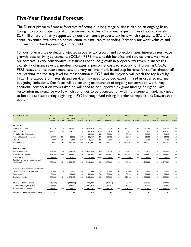## <span id="page-36-0"></span>**Five-Year Financial Forecast**

The District prepares financial forecasts reflecting our long-range business plan on an ongoing basis, taking into account operational and economic variables. Our annual expenditures of approximately \$2.7 million are primarily supported by our permanent property tax levy, which represents 87% of our annual revenues. We have no construction, minimal capital spending (primarily for work vehicles and information technology needs), and no debt.

For our forecast, we evaluate projected property tax growth and collection rates, interest rates, wage growth, cost-of-living adjustments (COLA), PERS rates, health benefits, and service levels. As always, our forecast is very conservative. It assumes continued growth in property tax revenue, increasing availability of grant revenue, modest increases in personnel costs to account for increasing COLA, PERS rates, and healthcare expenses, and very minimal merit-based step increase for staff as almost half are reaching the top step level for their position in FY23 and the majority will reach the top level by FY25. The category of materials and services may need to be decreased in FY24 in order to manage budgeting limitations. Our focus will be ensuring maintenance of ongoing conservation work. Any additional conservation work taken on will need to be supported by grant funding. Sturgeon Lake restoration maintenance work, which continues to be budgeted for within the General Fund, may need to become self-supporting beginning in FY24 through fund-raising in order to replenish its Stewardship Account.

| For the Year Ended:                                   | <b>FY22</b>   |        | <b>FY23</b>   |        | <b>FY24</b> |        | <b>FY25</b> |        | <b>FY26</b> |        | <b>FY27</b> |               | <b>FY28</b> |        |
|-------------------------------------------------------|---------------|--------|---------------|--------|-------------|--------|-------------|--------|-------------|--------|-------------|---------------|-------------|--------|
|                                                       | Adopted       | %      | Proposed      | %      |             | %      |             | %      |             | %      |             | $\frac{9}{6}$ |             | %      |
|                                                       | <b>Budget</b> | Change | <b>Budget</b> | Change | Forecast    | Change | Forecast    | Change | Forecast    | Change | Forecast    | Change        | Forecast    | Change |
| <b>REVENUES:</b>                                      |               |        |               |        |             |        |             |        |             |        |             |               |             |        |
| Property tax income                                   | 1.755.934     | 2%     | 1.947.093     | 11%    | 2.024.976   | 4%     | 2,085,726   | 3%     | 2,148,297   | 3%     | 2,212,746   | 3%            | 2,279,129   | 3%     |
| Grant income                                          | 229,759       | 16%    | 254,557       | 11%    | 280,013     | 10%    | 308,014     | 10%    | 338,815     | 10%    | 372,697     | 10%           | 409,967     | 10%    |
| Fundraising for Sturgeon Lake                         |               |        |               |        | 30,000      | 1%     | 30.300      | 1%     | 30,603      | 1%     | 30,909      | 1%            | 31.218      | 1%     |
| Misc. & Charges for services                          | 27,890        | 36%    | 23,215        | $-17%$ | 23,447      | 1%     | 23,682      | 1%     | 23,918      | 1%     | 24,158      | 1%            | 24,399      | 1%     |
| Interest                                              | 7,500         | $-57%$ | 5,500         | $-27%$ | 5,555       | 1%     | 5,611       | 1%     | 5,667       | 1%     | 5,723       | 1%            | 5,781       | 1%     |
| Total revenues                                        | 2,021,083     | 3%     | 2,230,365     | 10%    | 2,363,991   | 6%     | 2,453,332   | 4%     | 2,547,301   | 4%     | 2,646,233   | 4%            | 2,750,493   | 4%     |
| <b>EXPENDITURES:</b>                                  |               |        |               |        |             |        |             |        |             |        |             |               |             |        |
| Personnel services                                    | 1,443,268     | 10%    | 1,634,504     | 13%    | 1.650.849   | 1%     | 1,667,358   | 1%     | 1,684,031   | 1%     | 1,700,872   | 1%            | 1,717,880   | 1%     |
| Materials and services                                | 797,304       | 22%    | 924,951       | 16%    | 754,951     | 1%     | 754,951     | 0%     | 754,951     | 0%     | 754,951     | 0%            | 754,951     | 0%     |
| Capital outlay                                        | 18,650        |        | 40,000        | 114%   | 5,000       | $-88%$ | 5,000       | 0%     | 5,000       | 0%     | 5,000       | 0%            | 5,000       | 0%     |
| Total before transfers, reserves and<br>contingencies | 2,259,222     | 15%    | 2,599,455     | 15%    | 2.410.800   | $-7%$  | 2.427.309   | 1%     | 2,443,982   | 1%     | 2.460.823   | 1%            | 2.477.831   | 1%     |
| Transfer to Sturgeon Lake Special Fund                |               |        |               |        |             |        |             |        |             |        |             |               |             |        |
| Reserve for Future Expenditures                       | 25.000        |        | 25,000        | 0%     | 25,000      | 0%     | 25,000      | 0%     | 25,000      | 0%     | 25,000      | 0%            | 25,000      | 0%     |
| Contingency                                           | 50.000        |        | 50.000        | 0%     | 50.000      | 0%     | 50,000      | 0%     | 50.000      | 0%     | 50,000      | 0%            | 50.000      | 0%     |
| Total use of funds                                    | 2,334,222     | 9%     | 2,674,455     | 15%    | 2.485.800   | $-7%$  | 2,502,309   | 1%     | 2,518,982   | 1%     | 2,535,823   | 1%            | 2,552,831   | 1%     |
| Change in fund balances                               | (313, 139)    |        | (444,090)     |        | (121, 809)  |        | (48, 977)   |        | 28,319      |        | 110,411     |               | 197,662     |        |
| Fund balance, beginning of year                       | 1,286,000     |        | 1,528,000     |        | 1,083,910   |        | 962,101     |        | 913,124     |        | 941,442     |               | 1,051,853   |        |
| Fund balance, end of year                             | 972,861       | 22%    | 1,083,910     | 11%    | 962,101     | $-11%$ | 913,124     | $-5%$  | 941,442     | 3%     | 1,051,853   | 12%           | 1,249,515   | 19%    |
| <b>Months of Operating Expenditures</b>               | 5.2           |        | 5.0           |        | 4.8         |        | 4.5         |        | 4.6         |        | 5.1         |               | 6.1         |        |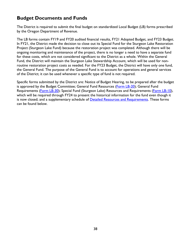### <span id="page-37-0"></span>**Budget Documents and Funds**

The District is required to submit the final budget on standardized Local Budget (LB) forms prescribed by the Oregon Department of Revenue.

The LB forms contain FY19 and FY20 audited financial results, FY21 Adopted Budget, and FY23 Budget. In FY21, the District made the decision to close out its Special Fund for the Sturgeon Lake Restoration Project (Sturgeon Lake Fund) because the restoration project was completed. Although there will be ongoing monitoring and maintenance of the project, there is no longer a need to have a separate fund for these costs, which are not considered significant to the District as a whole. Within the General Fund, the District will maintain the Sturgeon Lake Stewardship Account, which will be used for nonroutine restoration project costs as needed. For the FY23 Budget, the District will have only one fund, the General Fund. The purpose of the General Fund is to account for operations and general services of the District; it can be used whenever a specific type of fund is not required.

Specific forms submitted by the District are: Notice of Budget Hearing, to be prepared after the budget is approved by the Budget Committee; General Fund Resources [\(Form LB-20\)](#page-38-0); General Fund Requirements [\(Form LB-30\)](#page-39-0); Special Fund (Sturgeon Lake) Resources and Requirements [\(Form LB-10\)](#page-40-0), which will be required through FY24 to present the historical information for the fund even though it is now closed; and a supplementary schedule of [Detailed Resources and Requirements.](#page-41-0) These forms can be found below.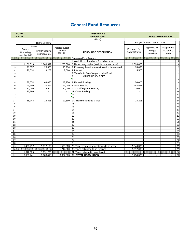## **General Fund Resources**

<span id="page-38-0"></span>

|                | <b>FORM</b>                   |                                                                                                                     |                                    | <b>RESOURCES</b>                                    |                                      |                              |                            |                 |  |
|----------------|-------------------------------|---------------------------------------------------------------------------------------------------------------------|------------------------------------|-----------------------------------------------------|--------------------------------------|------------------------------|----------------------------|-----------------|--|
|                | $LB-20$                       |                                                                                                                     |                                    | <b>General Fund</b>                                 |                                      |                              | <b>West Multnomah SWCD</b> |                 |  |
|                |                               |                                                                                                                     |                                    | (Fund)                                              |                                      |                              |                            |                 |  |
|                |                               | <b>Historical Data</b>                                                                                              |                                    |                                                     |                                      | Budget for Next Year 2022-23 |                            |                 |  |
|                | Actual<br>Second<br>Preceding | <b>First Preceding</b>                                                                                              | <b>Adopted Budget</b><br>This Year | <b>RESOURCE DESCRIPTION</b>                         | Proposed By<br><b>Budget Officer</b> | Approved By<br><b>Budget</b> | Adopted By<br>Governing    |                 |  |
|                | Year 2019-20                  | Year 2020-21                                                                                                        | 2021-22                            |                                                     |                                      | Committee                    | Body                       |                 |  |
|                |                               | <u> 1999 - 1999 - 1999 - 1999 - 1999 - 1999 - 1999 - 1999 - 1999 - 1999 - 1999 - 1999 - 1999 - 1999 - 1999 - 19</u> | e proponen populario               | Beginning Fund Balance:                             |                                      | 8888888888888                |                            |                 |  |
|                |                               |                                                                                                                     |                                    | 1. Available cash on hand (cash basis) or           |                                      |                              |                            | $\mathbf{1}$    |  |
| 2              | 1,151,319                     | 1,060,349                                                                                                           | 1,286,000                          | 2. Net working capital (modified accrual basis)     | 1,528,000                            |                              |                            | $\overline{2}$  |  |
| 3              | 21.557                        | 25.868                                                                                                              | 43.934                             | 3. Previously levied taxes estimated to be received | 35.093                               |                              |                            | $\mathbf{3}$    |  |
| $\overline{4}$ | 26,024                        | 9,208                                                                                                               | 7,500                              | 4. Interest                                         | 5,500                                |                              |                            | $\overline{4}$  |  |
| 5              |                               |                                                                                                                     |                                    | 5. Transfer In from Sturgeon Lake Fund              |                                      |                              |                            | $\overline{5}$  |  |
| 6              |                               |                                                                                                                     |                                    | <b>OTHER RESOURCES</b><br>6.                        |                                      |                              |                            | 6               |  |
| 7              |                               |                                                                                                                     |                                    | 7.                                                  |                                      |                              |                            | $\overline{7}$  |  |
| 8              | 32,674                        | 69,080                                                                                                              | 48,750                             | 8. Federal Funding                                  | 50,000                               |                              |                            | 8               |  |
| 9              | 143,600                       | 132,362                                                                                                             | 151,009                            | 9. State Funding                                    | 184,557                              |                              |                            | 9               |  |
| 10             | 30,000                        | 5,500                                                                                                               | 30,000                             | 10. Local/Regional Funding                          | 20,000                               |                              |                            | 10              |  |
| 11             | 16,290                        | $\blacksquare$                                                                                                      |                                    | 11. Other Funding                                   | $\sim$                               |                              |                            | 11              |  |
| 12             |                               |                                                                                                                     |                                    | 12.                                                 |                                      |                              |                            | 12              |  |
| 13             |                               |                                                                                                                     |                                    | 13.                                                 |                                      |                              |                            | 13              |  |
| 14             | 16,748                        | 14,826                                                                                                              | 27,890                             | 14.<br>Reimbursements & Misc                        | 23,215                               |                              |                            | 14              |  |
| 15             |                               |                                                                                                                     |                                    | 15                                                  |                                      |                              |                            | 15              |  |
| 16             |                               |                                                                                                                     |                                    | 16                                                  |                                      |                              |                            | 16              |  |
| 17             |                               |                                                                                                                     |                                    | $\overline{17}$                                     |                                      |                              |                            | $\overline{17}$ |  |
| 18             |                               |                                                                                                                     |                                    | 18                                                  |                                      |                              |                            | 18              |  |
| 19             |                               |                                                                                                                     |                                    | 19                                                  |                                      |                              |                            | 19              |  |
| 20             |                               |                                                                                                                     |                                    | 20                                                  |                                      |                              |                            | 20              |  |
| 21             |                               |                                                                                                                     |                                    | 21                                                  |                                      |                              |                            | 21              |  |
| 22             |                               |                                                                                                                     |                                    | 22                                                  |                                      |                              |                            | $\overline{22}$ |  |
| 23             |                               |                                                                                                                     |                                    | 23                                                  |                                      |                              |                            | 23              |  |
| 24             |                               |                                                                                                                     |                                    | 24                                                  |                                      |                              |                            | 24              |  |
| 25             |                               |                                                                                                                     |                                    | 25                                                  |                                      |                              |                            | 25              |  |
| 26             |                               |                                                                                                                     |                                    | 26                                                  |                                      |                              |                            | 26              |  |
| 27             |                               |                                                                                                                     |                                    | $\overline{27}$                                     |                                      |                              |                            | 27              |  |
| 28             |                               |                                                                                                                     |                                    | 28                                                  |                                      |                              |                            | 28              |  |
| 29             | 1,438,212                     | 1,317,193                                                                                                           | 1,595,083                          | 29. Total resources, except taxes to be levied      | 1,846,365                            | $\blacksquare$               | $\blacksquare$             | 29              |  |
| 30             |                               |                                                                                                                     | 1,712,000                          | 30. Taxes estimated to be received                  | 1,912,000                            |                              |                            | 30              |  |
| 31             | 1,642,029                     | 1,691,225                                                                                                           |                                    | 31. Taxes collected in year levied                  |                                      |                              |                            | 31              |  |
| 32             | 3,080,241                     | 3.008.418                                                                                                           | 3,307,083                          | 32. TOTAL RESOURCES                                 | 3,758,365                            | $\blacksquare$               | $\overline{\phantom{a}}$   | 32              |  |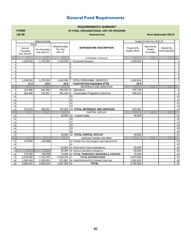## **General Fund Requirements**

#### **REQUIREMENTS SUMMARY**

#### **BY FUND, ORGANIZATIONAL UNIT OR PROGRAM**

<span id="page-39-0"></span>**FORM LB-30**

**General Fund**

**West Multnomah SWCD**

|                |              | <b>Historical Data</b> |                                    |                                                               |                       | Budget for Next Year 2022-23 |                |                |
|----------------|--------------|------------------------|------------------------------------|---------------------------------------------------------------|-----------------------|------------------------------|----------------|----------------|
|                | Actual       |                        |                                    |                                                               |                       |                              |                |                |
|                | Second       | <b>First Preceding</b> | <b>Adopted Budget</b><br>This Year | <b>EXPENDITURE DESCRIPTION</b>                                | Proposed By           | Approved By<br><b>Budget</b> | Adopted By     |                |
|                | Preceding    | Year 2020-21           | 2021-22                            |                                                               | <b>Budget Officer</b> | Committee                    | Governing Body |                |
|                | Year 2019-20 |                        |                                    |                                                               |                       |                              |                |                |
|                |              |                        |                                    | PERSONNEL SERVICES                                            |                       |                              |                |                |
|                | 1,269,916    | 1,278,300              | 1,443,268                          | <b>Personnel Services</b><br>$\overline{11}$                  | 1,634,504             |                              |                | $\mathbf{1}$   |
|                |              |                        |                                    | $\overline{2}$                                                |                       |                              |                | $\overline{2}$ |
| 3              |              |                        |                                    | 3                                                             |                       |                              |                | 3              |
|                |              |                        |                                    | 4                                                             |                       |                              |                | $\overline{4}$ |
| 5              |              |                        |                                    | $\overline{5}$                                                |                       |                              |                | 5              |
| 6              |              |                        |                                    | 6                                                             |                       |                              |                | 6              |
| $\overline{7}$ | 1,269,916    | 1,278,300              | 1,443,268                          | <b>TOTAL PERSONNEL SERVICES</b><br>17                         | 1,634,504             |                              |                | $\overline{7}$ |
|                | 11.3         | 10.8                   | 10.8                               | <b>Total Full-Time Equivalent (FTE)</b>                       | 10.8                  |                              |                |                |
|                |              |                        |                                    | MATERIALS AND SERVICES                                        |                       |                              |                |                |
| 8              | 214,986      | 184,494                | 306,204                            | 8 <br>Operations                                              | 375,728               |                              |                | 8              |
| 9              | 364,490      | 310,557                | 491,100                            | $\overline{9}$<br><b>Conservation Programs &amp; Services</b> | 549,223               |                              |                | 9              |
| 10             |              |                        |                                    | 10                                                            |                       |                              |                | 10             |
| 11             |              |                        |                                    | 11                                                            |                       |                              |                | 11             |
| 12             |              |                        |                                    | 12                                                            |                       |                              |                | 12             |
| 13             |              |                        |                                    | 13                                                            |                       |                              |                | 13             |
| 14             | 579.476      | 495.051                | 797.304                            | <b>14 TOTAL MATERIALS AND SERVICES</b>                        | 924.951               |                              |                | 14             |
|                |              |                        |                                    | CAPITAL OUTLAY                                                |                       |                              |                |                |
| 15             | ÷            |                        | 18,650                             | 15<br><b>Capital Outlay</b>                                   | 40,000                |                              |                | 15             |
| 16             |              |                        |                                    | 16                                                            |                       |                              |                | 16             |
| 17             |              |                        |                                    | 17                                                            |                       |                              |                | 17             |
| 18             |              |                        |                                    | 18                                                            |                       |                              |                | 18             |
| 19             |              |                        |                                    | 19                                                            |                       |                              |                | 19             |
| 20             |              |                        |                                    | 20                                                            |                       |                              |                | 20             |
| 21             |              |                        | 18.650                             | 21 TOTAL CAPITAL OUTLAY                                       | 40.000                |                              |                | 21             |
|                |              |                        |                                    | Interfund Transfer and Other                                  |                       |                              |                |                |
| 22             | 170,500      | (48, 586)              | $\blacksquare$                     | 22 Transfer Out / (In) Sturgeon Lake Special Fund             | ÷                     | ÷                            |                | 22             |
| 23             |              |                        |                                    | 23                                                            |                       |                              |                | 23             |
| 24             |              |                        | 25.000                             | 24 Reserved for Future Expenditures                           | 25,000                |                              |                | 24             |
| 25             |              |                        | 50,000                             | 25 General Operating Contingency                              | 50.000                |                              |                | 25             |
| 26             | 170,500      | (48, 586)              |                                    | 75,000 26 TOTAL TRANSFERS, RESERVES & CONTING.                | 75,000                | $\blacksquare$               |                | 26             |
| 27             | 2,019,892    | 1,724,765              | 2,334,222 27                       | <b>TOTAL EXPENDITURES</b>                                     | 2,674,455             | $\overline{a}$               |                | 27             |
| 28             | 1,060,349    | 1,283,653              | 972,861                            | 28 UNAPPROPRIATED ENDING FUND BAL.                            | 1,083,910             |                              |                | 28             |
| 29             | 3,080,241    | 3,008,418              | 3,307,083 29                       | <b>TOTAL</b>                                                  | 3,758,365             |                              |                | 29             |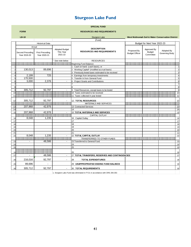## **Sturgeon Lake Fund**

<span id="page-40-0"></span>

|                |                                  |                                        |                                               | <b>SPECIAL FUND</b>                                                         |                                      |                                           |                                                   |                         |
|----------------|----------------------------------|----------------------------------------|-----------------------------------------------|-----------------------------------------------------------------------------|--------------------------------------|-------------------------------------------|---------------------------------------------------|-------------------------|
|                | <b>FORM</b>                      |                                        |                                               | <b>RESOURCES AND REQUIREMENTS</b>                                           |                                      |                                           |                                                   |                         |
|                | $LB-10$                          |                                        |                                               | Sturgeon Lake                                                               |                                      |                                           | West Multnomah Soil & Water Conservation District |                         |
|                |                                  |                                        |                                               | (Fund)                                                                      |                                      |                                           |                                                   |                         |
|                |                                  | <b>Historical Data</b>                 |                                               |                                                                             |                                      | Budget for Next Year 2022-23              |                                                   |                         |
|                |                                  | Actual                                 |                                               |                                                                             |                                      |                                           |                                                   |                         |
|                | Second Preceding<br>Year 2019-20 | <b>First Preceding</b><br>Year 2020-21 | <b>Adopted Budget</b><br>This Year<br>2021-22 | <b>DESCRIPTION</b><br><b>RESOURCES AND REQUIREMENTS</b>                     | Proposed By<br><b>Budget Officer</b> | Approved By<br><b>Budget</b><br>Committee | Adopted By<br>Governing Body                      |                         |
|                |                                  |                                        | See note below                                | <b>RESOURCES</b>                                                            |                                      |                                           |                                                   |                         |
|                |                                  |                                        |                                               | Beginning Fund Balance:                                                     |                                      |                                           |                                                   |                         |
| 1              |                                  |                                        |                                               | Cash on hand (cash basis), or                                               |                                      |                                           |                                                   | $\mathbf{1}$            |
| $\overline{2}$ | 130,013                          | 89.696                                 |                                               | Working Capital* (modified accrual basis)                                   |                                      |                                           |                                                   | $\overline{a}$          |
| 3              |                                  |                                        |                                               | Previously levied taxes estimated to be received                            |                                      |                                           |                                                   | $\mathbf{3}$            |
| $\overline{4}$ | 2,199                            | 725                                    |                                               | Earnings from temporary investments<br>4                                    |                                      |                                           |                                                   | $\overline{\mathbf{4}}$ |
| 5              | 170,500                          |                                        |                                               | Transfer In from General Fund                                               |                                      |                                           |                                                   | 5                       |
| 6              | 3,000                            | 2,376                                  |                                               | Project Grants and Contributions<br>հ                                       |                                      |                                           |                                                   | $\,6$                   |
| $\overline{7}$ |                                  |                                        |                                               |                                                                             |                                      |                                           |                                                   | $\overline{7}$          |
| 8              |                                  |                                        |                                               | 8                                                                           |                                      |                                           |                                                   | œ.                      |
| $\overline{9}$ | 305.712                          | 92.797                                 |                                               | 9<br>Total Resources, except taxes to be levied                             |                                      |                                           |                                                   | 9                       |
| 10             |                                  |                                        | 88888                                         | 10 Taxes estimated to be received                                           | ananana                              | ,,,,,,,,,,,,,,,,,,,,,,,,,,,,              |                                                   | 10                      |
| 11             |                                  |                                        |                                               | 11 Taxes collected in year levied                                           |                                      |                                           |                                                   | 11                      |
|                |                                  |                                        |                                               |                                                                             |                                      |                                           |                                                   |                         |
| 12             | 305,712                          | 92,797                                 |                                               | 12. TOTAL RESOURCES                                                         |                                      |                                           |                                                   | 12                      |
|                |                                  |                                        |                                               | MATERIALS AND SERVICES                                                      |                                      |                                           |                                                   |                         |
| 13             | 207,968                          | 42,976                                 |                                               | 13 Contracted Services                                                      |                                      |                                           |                                                   | 13                      |
| 14             |                                  |                                        |                                               | 14                                                                          |                                      |                                           |                                                   | 14                      |
| 15             | 207,968                          | 42.976                                 |                                               | 15 TOTAL MATERIALS AND SERVICES                                             |                                      |                                           |                                                   | 15                      |
|                |                                  |                                        |                                               | CAPITAL OUTLAY                                                              |                                      |                                           |                                                   |                         |
| 16             | 8.048                            | 1,235                                  |                                               | 16 Capital Outlay                                                           |                                      |                                           |                                                   | 16                      |
| 17             |                                  |                                        |                                               | 17                                                                          |                                      |                                           |                                                   | 17                      |
| 18             |                                  |                                        |                                               | 18                                                                          |                                      |                                           |                                                   | 18                      |
| 19             |                                  |                                        |                                               | 19                                                                          |                                      |                                           |                                                   | 19                      |
| 20             |                                  |                                        |                                               | 20                                                                          |                                      |                                           |                                                   | 20                      |
| 21             |                                  |                                        | ÷.                                            | 21                                                                          |                                      |                                           |                                                   | 21                      |
| 22             | 8,048                            | 1,235                                  |                                               | 22 TOTAL CAPITAL OUTLAY                                                     |                                      |                                           |                                                   | 22                      |
|                |                                  |                                        |                                               | TRANSFERRED TO OTHER FUNDS                                                  |                                      |                                           |                                                   |                         |
| 23             |                                  | 48,586                                 | $\blacksquare$                                | 23 Transferred to General Fund                                              |                                      |                                           |                                                   | 23                      |
| 24             |                                  |                                        |                                               | 24                                                                          |                                      |                                           |                                                   | 24                      |
| 25             |                                  |                                        |                                               | 25                                                                          |                                      |                                           |                                                   | 25                      |
| 26             |                                  |                                        |                                               | 26                                                                          |                                      |                                           |                                                   | 26                      |
| 27             |                                  | 48,586                                 | $\blacksquare$                                | 27 TOTAL TRANSFERS, RESERVES AND CONTINGENCIES                              |                                      |                                           |                                                   | 27                      |
| 28             | 216,016                          | 92,797                                 | $\blacksquare$                                | 28<br><b>TOTAL EXPENDITURES</b>                                             |                                      |                                           |                                                   | 28                      |
| 29             | 89,696                           | $\overline{a}$                         |                                               | 29 UNAPPROPRIATED ENDING FUND BALANCE                                       |                                      |                                           |                                                   | 29                      |
| 30             | 305,712                          | 92,797                                 |                                               | <b>TOTAL REQUIREMENTS</b><br>30                                             |                                      |                                           |                                                   | 30                      |
|                |                                  |                                        |                                               | 1. Sturgeon Lake Fund was eliminated in FY21 in accordance with ORS 294.353 |                                      |                                           |                                                   |                         |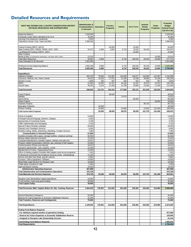## <span id="page-41-0"></span>**Detailed Resources and Requirements**

| <b>WEST MULTNOMAH SOIL &amp; WATER CONSERVATION DISTRICT</b><br>DETAILED RESOURCES AND EXPENDITURES      | <b>Administration &amp;</b><br><b>Communications</b><br>& Outreach | <b>Education</b> | Forestry<br>Programs     | <b>Habitats</b> | Soil & Farms | <b>Invasive</b><br>Weeds<br>Programs | Urban<br>Programs | Proposed<br><b>Budget</b><br><b>General Fund</b><br>(LB-20 & 30) |
|----------------------------------------------------------------------------------------------------------|--------------------------------------------------------------------|------------------|--------------------------|-----------------|--------------|--------------------------------------|-------------------|------------------------------------------------------------------|
| <b>Beginning Balance</b>                                                                                 | 1,528,000                                                          |                  |                          |                 |              |                                      |                   | 1,528,000                                                        |
| Previously Levied Taxes estimated to be rec'd                                                            | 35,093                                                             |                  |                          |                 |              |                                      |                   | 35,093                                                           |
| Earnings from temporary investments                                                                      | 5,500                                                              |                  |                          |                 |              |                                      |                   | 5,500                                                            |
| Total before Grants, Prop, Taxes and Misc.                                                               | 1.568.593                                                          | $\sim$           | ÷,                       |                 |              |                                      |                   | 1,568,593                                                        |
|                                                                                                          |                                                                    |                  |                          |                 |              |                                      |                   |                                                                  |
| Federal Funding (NRCS, NACD)                                                                             |                                                                    |                  | 40,000                   |                 | 10,000       |                                      |                   | 50,000                                                           |
| State Funding (ODA, OWEB, OSWB, OISC, ODF)                                                               | 26,372                                                             | 6,000            | 3,500                    | 6,719           | 76,533       | 65,433                               |                   | 184,557                                                          |
| Local/Regional Funding (CREST, OWF)                                                                      |                                                                    |                  |                          |                 | 20,000       |                                      |                   | 20,000                                                           |
| Other Funding                                                                                            |                                                                    |                  |                          |                 |              |                                      | 10,000            |                                                                  |
| Reimb & Misc & Contributions (workshops, cost-share, BES, Parks)<br><b>Total Other Resources</b>         | 13,215<br>39,587                                                   | 6,000            |                          | 6,719           | 106,533      | 65,433                               | 10,000            | 23,215<br>277,772                                                |
| Taxes Estimated to be Received                                                                           | 1,912,000                                                          |                  |                          |                 |              |                                      |                   | 1,912,000                                                        |
|                                                                                                          |                                                                    |                  |                          |                 |              |                                      |                   |                                                                  |
| All Resources less Beginning Balance                                                                     | 1,992,180                                                          | 6,000            |                          | 6,719           | 106,533      | 65,433                               | 10,000            | 2,230,365                                                        |
| <b>Total Resources</b>                                                                                   | 3,520,180                                                          | 6,000            | Ĭ.                       | 6,719           | 106,533      | 65,433                               | 10,000            | 3,758,365                                                        |
|                                                                                                          |                                                                    |                  |                          |                 |              |                                      |                   |                                                                  |
| <b>Expenditures</b>                                                                                      |                                                                    |                  |                          |                 |              |                                      |                   |                                                                  |
| Salaries & Wages                                                                                         | 453,735                                                            | 79,693           | 112,287                  | 115,636         | 104,577      | 132,083                              | 112,287           | 1,110,298                                                        |
| Insurance: Medical, Life, Vision, Dental                                                                 | 44,813                                                             | 10,529           | 17,075                   | 21,548          | 16,196       | 39,869                               | 16,196            | 166,226                                                          |
| <b>Worker's Comp</b>                                                                                     | 1,809                                                              | 335              | 407                      | 453             | 501          | 643                                  | 407               | 4,555                                                            |
| <b>PERS</b>                                                                                              | 91,892                                                             | 15,050           | 23,197                   | 28,140          | 23,197       | 35,570                               | 23,197            | 240,245                                                          |
| Payroll Taxes                                                                                            | 46,252                                                             | 8,124            | 11,446                   | 11,788          | 10,660       | 13,464                               | 11,446            | 113,180                                                          |
| <b>Total Personnel</b>                                                                                   | 638,502                                                            | 113,731          | 164,412                  | 177,566         | 155,131      | 221,630                              | 163,533           | 1,634,504                                                        |
|                                                                                                          |                                                                    |                  |                          |                 |              |                                      |                   |                                                                  |
| <b>Forest Projects</b>                                                                                   |                                                                    |                  | 48,520                   |                 |              |                                      |                   | 48,520                                                           |
| Habitats                                                                                                 |                                                                    |                  |                          | 74,070          |              |                                      |                   | 74,070                                                           |
| Soil & Farms                                                                                             |                                                                    |                  |                          |                 | 80,250       |                                      |                   | 80,250                                                           |
| Urban Projects                                                                                           |                                                                    |                  |                          |                 |              |                                      | 28,950            | 28,950                                                           |
| <b>Invasives Projects</b><br><b>Education Programs</b>                                                   |                                                                    | 18,400           |                          |                 |              | 99,733                               |                   | 99,733<br>18,400                                                 |
|                                                                                                          |                                                                    |                  |                          | 10,000          |              |                                      |                   |                                                                  |
| Partner Funding                                                                                          |                                                                    | 44,800           |                          |                 |              | 22,000                               | 122,500           | 199,300                                                          |
| <b>Total Conservation Programs</b>                                                                       |                                                                    | 63,200           | 48,520                   | 84,070          | 80,250       | 121,733                              | 151,450           | 549,223                                                          |
| Events & Supplies                                                                                        | 14,000                                                             |                  |                          |                 |              |                                      |                   | 14,000                                                           |
| Printing/Production/Signage, Banners, Displays                                                           | 4,500                                                              |                  |                          |                 |              |                                      |                   | 4,500                                                            |
| Sponsorship of Community Events                                                                          | 3,700                                                              |                  |                          |                 |              |                                      |                   | 3,700                                                            |
| LRBP Implementatin and messaging                                                                         | 3,750                                                              |                  |                          |                 |              |                                      |                   | 3,750                                                            |
| Special Project (Website redesign)                                                                       | 25,000                                                             |                  |                          |                 |              |                                      |                   | 25,000                                                           |
| Outreach and Translation Services                                                                        | 9,500                                                              |                  |                          |                 |              |                                      |                   | 9,500                                                            |
| Website hosting, Media, Advertising, Marketing, Creative Services                                        | 7,380                                                              |                  |                          |                 |              |                                      |                   | 7,380                                                            |
| <b>Communication &amp; Outreach Expenses</b>                                                             | 67,830                                                             |                  | $\overline{\phantom{a}}$ |                 |              |                                      |                   | 67,830                                                           |
| Facilities (includes office space, storage facilities, employee parking)                                 | 66,000                                                             |                  |                          |                 |              |                                      |                   | 66,000                                                           |
| Moving related expenses (one-time)                                                                       | 75,420                                                             |                  |                          |                 |              |                                      |                   | 75,420                                                           |
| Computers/Maintenance (monthly support, software and add-ons)                                            | 20,657                                                             |                  |                          |                 |              |                                      |                   | 20,657                                                           |
| Program related transportation (vehicles, gas, parking) & field supplies                                 | 22,648                                                             |                  |                          |                 |              |                                      |                   | 22,648                                                           |
| Communications (Phone and Internet)                                                                      | 18,074                                                             |                  |                          |                 |              |                                      |                   | 18,074                                                           |
| Insurance (general liab., auto, property, crime)                                                         | 10,395                                                             |                  |                          |                 |              |                                      |                   | 10,395                                                           |
| Membership & Profess. Organizational Dues                                                                | 10,000                                                             |                  |                          |                 |              |                                      |                   | 10,000                                                           |
| Office & meeting supplies (includes field supplies used across programs)                                 | 7,163                                                              |                  |                          |                 |              |                                      |                   | 7,163                                                            |
| Professional Contracted Non-Employee Services (Audit, Bookkeeping)                                       | 21,200                                                             |                  |                          |                 |              |                                      |                   | 21,200                                                           |
| Service and other fees (bank, payroll, notices)                                                          | 8,891                                                              |                  |                          |                 |              |                                      |                   | 8,891                                                            |
| Furniture / Office Equipment / Software                                                                  | 10,600                                                             |                  |                          |                 |              |                                      |                   | 10,600                                                           |
| Real Estate Legal Services for Sturgeon Lake                                                             | 16,000<br>2,400                                                    |                  |                          |                 |              |                                      |                   | 16,000<br>2,400                                                  |
| TriMet option incentive for staff<br>Staff and Board Training                                            | 18,450                                                             |                  |                          |                 |              |                                      |                   | 18,450                                                           |
| <b>Administrative Operating Expenses</b>                                                                 | 307,898                                                            |                  |                          |                 |              |                                      |                   | 307,898                                                          |
|                                                                                                          |                                                                    |                  |                          |                 |              |                                      |                   |                                                                  |
| <b>Total Administrative and Commuications Operations</b><br><b>Total Materials and Services Expenses</b> | 375,728<br>375,728                                                 | 63,200           | 48,520                   | 84,070          | 80,250       | 121,733                              | 151,450           | 375,728<br>924,951                                               |
|                                                                                                          |                                                                    |                  |                          |                 |              |                                      |                   |                                                                  |
| Sturgeon Lake Stewardship Capital expenditures                                                           | 10,000                                                             |                  |                          |                 |              |                                      |                   | 10,000                                                           |
| IT and Vehicle / boat using grant funding                                                                | 30,000                                                             |                  |                          |                 |              |                                      |                   | 30,000                                                           |
| <b>Total Capital Outlay</b>                                                                              | 40,000                                                             |                  |                          |                 |              |                                      |                   | 40,000                                                           |
| Total Personnel, M&S, Capital; Before SL Xfer, Conting, Reserves                                         | 1,054,230                                                          | 176,931          | 212,932                  | 261,636         | 235,381      | 343,363                              | 314,983           | 2,599,455                                                        |
| General Operating Contingency                                                                            | 50,000                                                             |                  |                          |                 |              |                                      |                   | 50,000                                                           |
| Reserve for Future Expenses or Economic Stabilization Reserve                                            | 25,000                                                             |                  |                          |                 |              |                                      |                   | 25,000                                                           |
| <b>Total Transfers, Reserves and Contingencies</b>                                                       | 75,000                                                             | $\blacksquare$   | $\blacksquare$           |                 |              | ٠                                    |                   | 75,000                                                           |
|                                                                                                          |                                                                    |                  |                          |                 |              |                                      |                   |                                                                  |
| <b>Total Expenditures</b>                                                                                | 1,129,230                                                          | 176,931          | 212,932                  | 261,636         | 235,381      | 343,363                              | 314,983           | 2,674,455                                                        |
| <b>Ending Fund Balance Required</b>                                                                      |                                                                    |                  |                          |                 |              |                                      |                   |                                                                  |
| For minimum required months of operations funding                                                        |                                                                    |                  |                          |                 |              |                                      |                   | 877,500                                                          |
| Reserve for Future Expenses or Economic Stabilization Reserve                                            |                                                                    |                  |                          |                 |              |                                      |                   | 125,000                                                          |
| Assigned to Sturgeon Lake Stewardship Account                                                            |                                                                    |                  |                          |                 |              |                                      |                   | 81,410                                                           |
| <b>Total Ending Fund Balance Required</b>                                                                |                                                                    |                  |                          |                 |              |                                      |                   | 1,083,910                                                        |
| <b>Total Requirements</b>                                                                                |                                                                    |                  |                          |                 |              |                                      |                   | 3,758,365                                                        |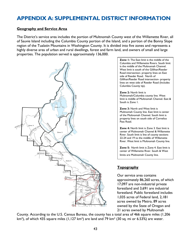## <span id="page-42-0"></span>**APPENDIX A: SUPPLEMENTAL DISTRICT INFORMATION**

#### **Geography and Service Area**

The District's service area includes the portion of Multnomah County west of the Willamette River, all of Sauvie Island including the Columbia County portion of the Island, and a portion of the Bonny Slope region of the Tualatin Mountains in Washington County. It is divided into five zones and represents a highly diverse area of urban and rural dwellings, forest and farm land, and owners of small and large properties. The population served is approximately 136,000.



**Zone 1:** The East limit is the middle of the Columbia and Willamette Rivers. South limit is the middle of the Multnomah Channel. West limit is south of the Gillihan/Reeder Road intersection- property lines on East side of Reeder Road. North of Gillihan/Reeder Road intersection- property lines on west side of Reeder Road (Includes Columbia County tip).

**Zone 2:** North limit is Multnomah/Columbia county line. West limit is middle of Multnomah Channel. East & South is Zone 1.

**Zone 3:** North and West limit is Multnomah County line. East limit is center of the Multnomah Channel. South limit is property lines on south side of Cornelius Pass Road.

**Zone 4:** North limit is Zone 3. East limit is center of Multnomah Channel & Willamette River. South limit is line of county sections 22-24 and 19 to the middle of Willamette River. West limit is Multnomah County line.

**Zone 5:** North limit is Zone 4. East limit is center of Willamette River. South & West limits are Multnomah County line.

#### **Topography**

Our service area contains approximately 86,260 acres, of which 17,097 are non-industrial private forestland and 3,691 are industrial forestland. Public forestland includes 1,035 acres of Federal land, 2,181 acres owned by Metro, 89 acres owned by the State of Oregon and 21 acres owned by Multnomah

County. According to the U.S. Census Bureau, the county has a total area of 466 square miles (1,206  $km<sup>2</sup>$ ), of which 435 square miles (1,127 km<sup>2</sup>) are land and 79 km<sup>2</sup> (30 sq. mi or 6.53%) are water.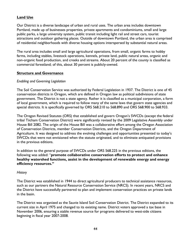#### **Land Use**

Our District is a diverse landscape of urban and rural uses. The urban area includes downtown Portland, made up of businesses properties, private apartments and condominiums, small and large public parks, a large university system, public transit including light rail and street cars, tourist attractions and outdoor gathering places. Outside of downtown Portland, the urban area is comprised of residential neighborhoods with diverse housing options interspersed by substantial natural areas.

The rural area includes small and large agricultural operations, from small, organic farms to hobby farms, including stables, livestock operations, kennels, private land, public natural areas, organic and non-organic food production, and creeks and streams. About 20 percent of the county is classified as commercial forestland; of this, about 30 percent is publicly-owned.

#### **Structure and Governance**

#### *Enabling and Governing Legislation*

The Soil Conservation Service was authorized by Federal Legislation in 1937. The District is one of 45 conservation districts in Oregon, which are defined in Oregon law as political subdivisions of state government. The District is not a state agency. Rather it is classified as a municipal corporation, a form of local government, which is required to follow many of the same laws that govern state agencies and special districts. It is specifically governed by ORS 568.210 to 568.890 and ORS 568.900 to 568.933.

The Oregon Revised Statutes (ORS) that established and govern Oregon's SWCDs (except the federal tribal Tiicham Conservation District) were significantly revised by the 2009 Legislative Assembly under House Bill 2082. The origin of the House Bill was a collaborative effort among the Oregon Association of Conservation Districts, member Conservation Districts, and the Oregon Department of Agriculture. It was designed to address the evolving challenges and opportunities presented to today's SWCDs that were not envisioned when the statute originated, and to eliminate antiquated provisions in the previous editions.

In addition to the general purpose of SWCDs under ORS 568.225 in the previous editions, the following was added: "**promote collaborative conservation efforts to protect and enhance healthy watershed functions, assist in the development of renewable energy and energy efficiency resources."**

#### *History*

The District was established in 1944 to direct agricultural producers to technical assistance resources, such as our partners the Natural Resource Conservation Service (NRCS). In recent years, NRCS and the District have successfully partnered to plan and implement conservation practices on private lands in the basin.

The District was organized as the Sauvie Island Soil Conservation District. The District expanded to its current size in April 1975 and changed to its existing name. District voters approved a tax base in November 2006, ensuring a stable revenue source for programs delivered to west-side citizens beginning in fiscal year 2007-2008.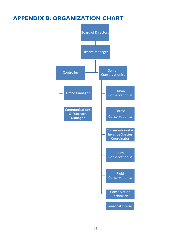## <span id="page-44-0"></span>**APPENDIX B: ORGANIZATION CHART**

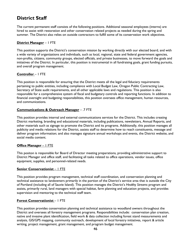## **District Staff**

The current permanent staff consists of the following positions. Additional seasonal employees (interns) are hired to assist with restoration and other conservation related projects as needed during the spring and summer. The District also relies on outside contractors to fulfill some of its conservation work objectives.

#### **District Manager** – 1 FTE

This position supports the District's conservation mission by working directly with our elected board, and with a wide variety of organizations and individuals, such as local, regional, state and federal government agencies, non-profits, citizens, community groups, elected officials, and private businesses, to move forward the goals and initiatives of the District. In particular, this position is instrumental in all fundraising goals, grant funding pursuits, and overall program management.

#### **Controller** – 1 FTE

This position is responsible for ensuring that the District meets all the legal and fiduciary requirements pertaining to public entities, including compliance with Local Budget Law, Oregon Public Contracting Law, Secretary of State audit requirements, and all other applicable laws and regulations. This position is also responsible for a comprehensive system of fiscal and budgetary controls and reporting functions. In addition to financial oversight and budgeting responsibilities, this position oversees office management, human resources, and communications.

#### **Communications & Outreach Manager** – .7 FTE

This position provides internal and external communications services for the District. This includes creating District marketing, branding and educational materials, including publications, newsletters, Annual Reports, and other materials such as signage to promote the District and its programs. Additionally, this position manages all publicity and media relations for the District, assists staff to determine how to reach constituents, message and deliver program information; and also manages signature annual workshops and events, the District website, and social media content.

#### **Office Manager** – 1 FTE

This positon is responsible for Board of Director meeting preparations, providing administrative support to District Manager and office staff, and facilitating all tasks related to office operations, vendor issues, office equipment, supplies, and personnel-related needs.

#### **Senior Conservationist** – 1 FTE

This position provides program management, technical staff coordination, and conservation planning and technical assistance to landowners primarily in the portion of the District's service area that is outside the City of Portland (including all of Sauvie Island). This position manages the District's *Healthy Streams* program and assists, primarily rural, land managers with special habitat, farm planning and education projects, and provides supervision and mentoring to the technical staff team.

#### **Forest Conservationist** – 1 FTE

This position provides conservation planning and technical assistance to woodland owners throughout the District and oversees all forestry management programs. Responsibilities include: conservation plan creation, native and invasive plant identification, field work & data collection including forest stand measurements and analysis, GIS/GPS mapping, community outreach, development of local forestry initiatives, report & article writing, project management, grant management, and program budget management.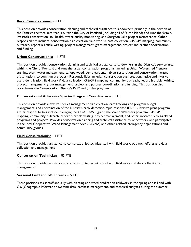#### **Rural Conservationist** – 1 FTE

This position provides conservation planning and technical assistance to landowners primarily in the portion of the District's service area that is outside the City of Portland (including all of Sauvie Island) and runs the farm & livestock conservation, soil health, water quality monitoring, and Sturgeon Lake project maintenance. Other responsibilities include: conservation plan creation, field work & data collection, GIS/GPS mapping, community outreach, report & article writing, project management, grant management, project and partner coordination and funding.

#### **Urban Conservationist** – 1 FTE

This position provides conservation planning and technical assistance to landowners in the District's service area within the City of Portland and runs the urban conservation programs (including Urban Watershed Mentors training, stormwater management, canopy weed, demo gardens, habitat restoration and conservation-related presentations to community groups). Responsibilities include: conservation plan creation, native and invasive plant identification, field work & data collection, GIS/GPS mapping, community outreach, report & article writing, project management, grant management, project and partner coordination and funding. This position also coordinates the Conservation District's K-12 and garden program.

#### **Conservationist & Invasive Species Program Coordinator** – 1 FTE

This position provides invasive species management plan creation, data tracking and program budget management, and coordination of the District's early detection-rapid response (EDRR) invasive plant program. Other responsibilities include managing the ODA OSWB grant, the Weed Watchers program, GIS/GPS mapping, community outreach, report & article writing, project management, and other invasive species-related programs and projects. Provides conservation planning and technical assistance to landowners, and participates in the local Cooperative Weed Management Area (CWMA) and other related interagency organizations and community groups.

#### **Field Conservationist** – 1 FTE

This position provides assistance to conservationist/technical staff with field work, outreach efforts and data collection and management.

#### **Conservation Technician** – .85 FTE

This position provides assistance to conservationist/technical staff with field work and data collection and management.

#### **Seasonal Field and GIS Interns** – .5 FTE

These positions assist staff annually with planting and weed eradication fieldwork in the spring and fall and with GIS (Geographic Information System) data, database management, and technical analyses during the summer.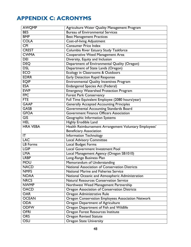## <span id="page-47-0"></span>**APPENDIX C: ACRONYMS**

| <b>AWQMP</b>     | Agriculture Water Quality Management Program          |
|------------------|-------------------------------------------------------|
| <b>BES</b>       | <b>Bureau of Environmental Services</b>               |
| <b>BMP</b>       | <b>Best Management Practices</b>                      |
| <b>COLA</b>      | <b>Cost-of-living Adjustment</b>                      |
| CPI              | <b>Consumer Price Index</b>                           |
| <b>CREST</b>     | Columbia River Estuary Study Taskforce                |
| <b>CWMA</b>      | Cooperative Weed Management Area                      |
| DEI              | Diversity, Equity and Inclusion                       |
| <b>DEQ</b>       | Department of Environmental Quality (Oregon)          |
| <b>DSL</b>       | Department of State Lands (Oregon)                    |
| <b>ECO</b>       | Ecology in Classrooms & Outdoors                      |
| <b>EDRR</b>      | <b>Early Detection Rapid Response</b>                 |
| <b>EQIP</b>      | <b>Environmental Quality Incentives Program</b>       |
| <b>ESA</b>       | <b>Endangered Species Act (Federal)</b>               |
| <b>EWP</b>       | <b>Emergency Watershed Protection Program</b>         |
| <b>FPC</b>       | <b>Forest Park Conservancy</b>                        |
| <b>FTE</b>       | Full Time Equivalent Employee (2080 hours/year)       |
| <b>GAAP</b>      | <b>Generally Accepted Accounting Principles</b>       |
| <b>GASB</b>      | Governmental Accounting Standards Board               |
| <b>GFOA</b>      | <b>Government Finance Officers Association</b>        |
| $\overline{GIS}$ | Geographic Information Systems                        |
| <b>HEL</b>       | <b>Highly Erodible Land</b>                           |
| <b>HRA VEBA</b>  | Health Reimbursement Arrangement Voluntary Employees' |
|                  | <b>Beneficiary Association</b>                        |
| IT               | Information Technology                                |
| <b>LAC</b>       | <b>Local Advisory Committee</b>                       |
| <b>LB</b> Forms  | Local Budget Forms                                    |
| <b>LGIP</b>      | <b>Local Government Investment Pool</b>               |
| <b>LMA</b>       | Local Management Agency (Oregon SB1010)               |
| <b>LRBP</b>      | Long-Range Business Plan                              |
| <b>MOU</b>       | Memorandum of Understanding                           |
| <b>NACD</b>      | <b>National Association of Conservation Districts</b> |
| <b>NMFS</b>      | <b>National Marine and Fisheries Service</b>          |
| <b>NOAA</b>      | National Oceanic and Atmospheric Administration       |
| <b>NRCS</b>      | <b>Natural Resources Conservation Service</b>         |
| <b>NWMP</b>      | Northwest Weed Management Partnership                 |
| <b>OACD</b>      | Oregon Association of Conservation Districts          |
| <b>OAR</b>       | Oregon Administrative Rule                            |
| <b>OCEAN</b>     | Oregon Conservation Employees Association Network     |
| <b>ODA</b>       | Oregon Department of Agriculture                      |
| <b>ODFW</b>      | Oregon Department of Fish and Wildlife                |
| <b>OFRI</b>      | Oregon Forest Resources Institute                     |
| <b>ORS</b>       |                                                       |
|                  | <b>Oregon Revised Statute</b>                         |